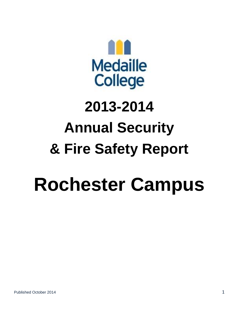

# **2013-2014 Annual Security & Fire Safety Report**

# **Rochester Campus**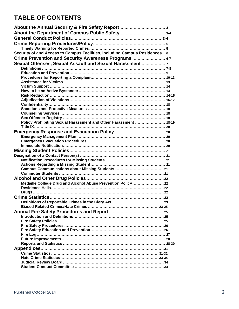# **TABLE OF CONTENTS**

| About the Department of Campus Public Safety  3-4                           |
|-----------------------------------------------------------------------------|
|                                                                             |
|                                                                             |
|                                                                             |
| Security of and Access to Campus Facilities, including Campus Residences  6 |
| Crime Prevention and Security Awareness Programs  6-7                       |
| Sexual Offenses, Sexual Assault and Sexual Harassment  7                    |
|                                                                             |
|                                                                             |
|                                                                             |
|                                                                             |
|                                                                             |
|                                                                             |
|                                                                             |
|                                                                             |
|                                                                             |
|                                                                             |
|                                                                             |
|                                                                             |
| Policy Prohibiting Sexual Harassment and Other Harassment  18-19            |
|                                                                             |
|                                                                             |
|                                                                             |
|                                                                             |
|                                                                             |
|                                                                             |
|                                                                             |
|                                                                             |
|                                                                             |
|                                                                             |
|                                                                             |
| Medaille College Drug and Alcohol Abuse Prevention Policy22                 |
|                                                                             |
|                                                                             |
|                                                                             |
|                                                                             |
|                                                                             |
|                                                                             |
|                                                                             |
|                                                                             |
|                                                                             |
|                                                                             |
|                                                                             |
|                                                                             |
|                                                                             |
|                                                                             |
|                                                                             |
|                                                                             |
|                                                                             |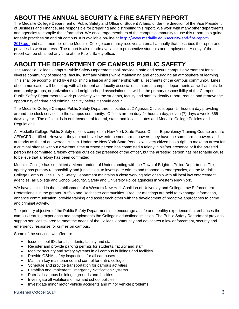# **ABOUT THE ANNUAL SECURITY & FIRE SAFETY REPORT**

The Medaille College Department of Public Safety and Office of Student Affairs, under the direction of the Vice President of Business and Finance, are responsible for preparing and distributing this report. We work with many other departments and agencies to compile the information. We encourage members of the campus community to use this report as a guide for safe practices on and off campus. It is available on-line at [http://www.medaille.edu/security-and-fire-report-](https://mavsmail.medaille.edu/owa/redir.aspx?C=L-kmDqVc5EOGoB9CXYG7cyvVKd2OrdEIDZvfPaJaEmmmXvwmmdTbRfC5DTuJKJ9qY5Gnjlc02eQ.&URL=http%3a%2f%2fwww.medaille.edu%2fsecurity-and-fire-report-2013.pdf)[2013.pdf](https://mavsmail.medaille.edu/owa/redir.aspx?C=L-kmDqVc5EOGoB9CXYG7cyvVKd2OrdEIDZvfPaJaEmmmXvwmmdTbRfC5DTuJKJ9qY5Gnjlc02eQ.&URL=http%3a%2f%2fwww.medaille.edu%2fsecurity-and-fire-report-2013.pdf) and each member of the Medaille College community receives an email annually that describes the report and provides its web address. The report is also made available to prospective students and employees. A copy of the report can be obtained any time at the Public Safety office.

# **ABOUT THE DEPARTMENT OF CAMPUS PUBLIC SAFETY**

The Medaille College Campus Public Safety Department shall provide a safe and secure campus environment for a diverse community of students, faculty, staff and visitors while maintaining and encouraging an atmosphere of learning. This shall be accomplished by establishing a liaison and partnership with all segments of the campus community. Lines of communication will be set up with all student and faculty associations, internal campus departments as well as outside community groups, organizations and neighborhood associations. It will be the primary responsibility of the Campus Public Safety Department to work proactively with the students, faculty and staff to identify report, reduce and remove the opportunity of crime and criminal activity before it should occur.

The Medaille College Campus Public Safety Department, located at 2 Agassiz Circle, is open 24 hours a day providing around-the-clock services to the campus community. Officers are on duty 24 hours a day, seven (7) days a week, 365 days a year. The office aids in enforcement of federal, state, and local statutes and Medaille College Policies and Regulations.

All Medaille College Public Safety officers complete a New York State Peace Officer Equivalency Training Course and are AED/CPR certified. However, they do not have law enforcement arrest powers; they have the same arrest powers and authority as that of an average citizen. Under the New York State Penal law, every citizen has a right to make an arrest for a criminal offense without a warrant if the arrested person has committed a felony in his/her presence or if the arrested person has committed a felony offense outside the presence of the officer, but the arresting person has reasonable cause to believe that a felony has been committed.

Medaille College has submitted a Memorandum of Understanding with the Town of Brighton Police Department. This agency has primary responsibility and jurisdiction, to investigate crimes and respond to emergencies, on the Medaille College Campus. The Public Safety Department maintains a close working relationship with all local law enforcement agencies, all College and School Security, Safety and University Police agencies in Western New York.

We have assisted in the establishment of a Western New York Coalition of University and College Law Enforcement Professionals in the greater Buffalo and Rochester communities. Regular meetings are held to exchange information, enhance communication, provide training and assist each other with the development of proactive approaches to crime and criminal activity.

The primary objective of the Public Safety Department is to encourage a safe and healthy experience that enhances the campus learning experience and complements the College's educational mission. The Public Safety Department provides support services tailored to meet the needs of the College Community and advocates a law enforcement, security and emergency response for crimes on campus.

Some of the services we offer are:

- Issue school IDs for all students, faculty and staff
- Register and provide parking permits for students, faculty and staff
- Monitor security and safety systems in all campus buildings and facilities
- Provide OSHA safety inspections for all campuses
- Maintain key maintenance and control for entire college
- Schedule and provide transportation for campus activities
- Establish and implement Emergency Notification Systems
- Patrol all campus buildings, grounds and facilities
- Investigate all violations of law and school policies
- Investigate minor motor vehicle accidents and minor vehicle problems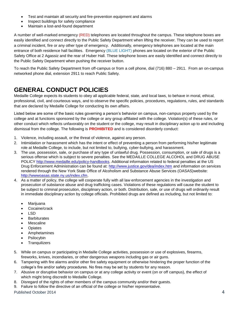- Test and maintain all security and fire-prevention equipment and alarms
- Inspect buildings for safety compliance
- Maintain a lost-and-found department

A number of well-marked emergency (RED) telephones are located throughout the campus. These telephone boxes are easily identified and connect directly to the Public Safety Department when lifting the receiver. They can be used to report a criminal incident, fire or any other type of emergency. Additionally, emergency telephones are located at the main entrance of both residence hall facilities. Emergency (BLUE LIGHT) phones are located on the exterior of the Public Safety Office at 2 Agassiz and the rear of Huber Hall. These telephone boxes are easily identified and connect directly to the Public Safety Department when pushing the receiver button.

To reach the Public Safety Department from off-campus or from a cell phone, dial (716) 880 – 2911. From an on-campus networked phone dial, extension 2911 to reach Public Safety.

# **GENERAL CONDUCT POLICIES**

Medaille College expects its students to obey all applicable federal, state, and local laws, to behave in moral, ethical, professional, civil, and courteous ways, and to observe the specific policies, procedures, regulations, rules, and standards that are declared by Medaille College for conducting its own affairs.

Listed below are some of the basic rules governing a person's behavior on campus, non-campus property used by the college and at functions sponsored by the college or any group affiliated with the college. Violation(s) of these rules, or other conduct which reflects unfavorably on the student or the college, may result in disciplinary action up to and including dismissal from the college. The following is **PROHIBITED** and is considered disorderly conduct:

- 1. Violence, including assault, or the threat of violence, against any person.
- 2. Intimidation or harassment which has the intent or effect of preventing a person from performing his/her legitimate role at Medaille College, to include, but not limited to, bullying, cyber-bullying, and harassment.
- 3. The use, possession, sale, or purchase of any type of unlawful drug. Possession, consumption, or sale of drugs is a serious offense which is subject to severe penalties. See the MEDAILLE COLLEGE ALCOHOL and DRUG ABUSE POLICY [http://www.medaille.edu/policy-handbooks.](http://www.medaille.edu/policy-handbooks) Additional information related to federal penalties at the US Drug Enforcement Administration can be found at:<http://www.justice.gov/dea/index.htm> and information on services rendered through the New York State Office of Alcoholism and Substance Abuse Services (OASAS)website: [http://wwwoasas.state.ny.us/index.cfm.](http://wwwoasas.state.ny.us/index.cfm)
- 4. As a matter of policy, the college will cooperate fully with all law enforcement agencies in the investigation and prosecution of substance abuse and drug trafficking cases. Violations of these regulations will cause the student to be subject to criminal prosecution, disciplinary action, or both. Distribution, sale, or use of drugs will ordinarily result in immediate disciplinary action by college officials. Prohibited drugs are defined as including, but not limited to:
	- Marijuana
	- Cocaine/crack
	- LSD
	- **Barbiturates**
	- Mescaline
	- **Opiates**
	- Amphetamines
	- Psilocybin
	- **Tranquilizers**
- 5. While on campus or participating in Medaille College activities, possession or use of explosives, firearms, fireworks, knives, incendiaries, or other dangerous weapons including gas or air guns.
- 6. Tampering with fire alarms and/or other fire safety equipment or otherwise hindering the proper function of the college's fire and/or safety procedures. No fires may be set by students for any reason.
- 7. Abusive or disruptive behavior on campus or at any college activity or event (on or off campus), the effect of which might bring discredit to Medaille College.
- 8. Disregard of the rights of other members of the campus community and/or their guests.
- 9. Failure to follow the directive of an official of the college or his/her representative.

Published October 2014 4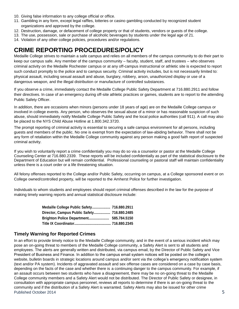- 10. Giving false information to any college official or office.
- 11. Gambling in any form, except legal raffles, lotteries or casino gambling conducted by recognized student organizations and approved by the college.
- 12. Destruction, damage, or defacement of college property or that of students, vendors or guests of the college.
- 13. The use, possession, sale or purchase of alcoholic beverages by students under the legal age of 21.
- 14. Violation of any other college policies, procedures and/or regulations.

# **CRIME REPORTING PROCEDURES/POLICY**

Medaille College strives to maintain a safe campus and relies on all members of the campus community to do their part to keep our campus safe. Any member of the campus community – faculty, student, staff, and trustees – who observes criminal activity on the Medaille Rochester campus or at any off-campus instructional or athletic site is expected to report such conduct promptly to the police and to campus security. Criminal activity includes, but is not necessarily limited to: physical assault, including sexual assault and abuse, burglary, robbery, arson, unauthorized display or use of a dangerous weapon, and the illegal distribution or manufacture of controlled substances.

If you observe a crime, immediately contact the Medaille College Public Safety Department at 716.880.2911 and follow their directives. In case of an emergency during off-site athletic practices or games, students are to report to the attending Public Safety Officer.

In addition, there are occasions when minors (persons under 18 years of age) are on the Medaille College campus or involved in college events. Any person, who observes the sexual abuse of a minor or has reasonable suspicion of such abuse, should immediately notify Medaille College Public Safety and the local police authorities (call 911). A call may also be placed to the NYS Child Abuse Hotline at 1.800.342.3720.

The prompt reporting of criminal activity is essential to securing a safe campus environment for all persons, including guests and members of the public. No one is exempt from the expectation of law-abiding behavior. There shall not be any form of retaliation within the Medaille College community against any person making a good faith report of suspected criminal activity.

If you wish to voluntarily report a crime confidentially you may do so via a counselor or pastor at the Medaille College Counseling Center at 716.880.2339. These reports will be included confidentially as part of the statistical disclosure to the Department of Education but will remain confidential. Professional counseling or pastoral staff will maintain confidentiality unless there is a court order or a life threatening situation.

All felony offenses reported to the College and/or Public Safety, occurring on campus, at a College sponsored event or on College owned/controlled property, will be reported to the Amherst Police for further investigation.

Individuals to whom students and employees should report criminal offenses described in the law for the purpose of making timely warning reports and annual statistical disclosure include:

| Medaille College Public Safety 716.880.2911 |  |
|---------------------------------------------|--|
| Director, Campus Public Safety 716.880.2485 |  |
| Brighton Police Department 585.784.5150     |  |
|                                             |  |

# **Timely Warning for Reported Crimes**

Published October 2014 5 In an effort to provide timely notice to the Medaille College community, and in the event of a serious incident which may pose an on-going threat to members of the Medaille College community, a Safety Alert is sent to all students and employees. The alerts are generally written and distributed, via campus email, by the Director of Public Safety and Vice President of Business and Finance. In addition to the campus email system notices will be posted on the college's website, bulletin boards in strategic locations around campus and/or sent via the college's emergency notification system (text and/or PA system). Incidents of aggravated assault and sex offense cases are considered on a case by case basis, depending on the facts of the case and whether there is a continuing danger to the campus community. For example, if an assault occurs between two students who have a disagreement, there may be no on-going threat to the Medaille College community members and a Safety Alert would not be distributed. The Director of Public Safety or designee, in consultation with appropriate campus personnel, reviews all reports to determine if there is an on-going threat to the community and if the distribution of a Safety Alert is warranted. Safety Alerts may also be issued for other crime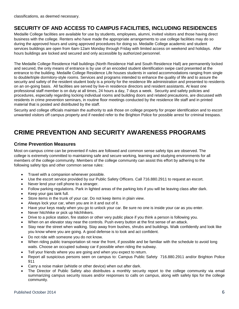# **SECURITY OF AND ACCESS TO CAMPUS FACILITIES, INCLUDING RESIDENCES**

Medaille College facilities are available for use by students, employees, alumni, invited visitors and those having direct business with the college. Renters who have made the appropriate arrangements to use college facilities may do so during the approved hours and using approved procedures for doing so. Medaille College academic and student services buildings are open from 6am-12am Monday through Friday with limited access on weekend and holidays. After hours buildings are locked and secured and only accessible by authorized personnel.

The Medaille College Residence Hall buildings (North Residence Hall and South Residence Hall) are permanently locked and secured, the only means of entrance is by use of an encoded student identification swipe card presented at the entrance to the building. Medaille College Residence Life houses students in varied accommodations ranging from single to double/triple dormitory-style rooms. Services and programs intended to enhance the quality of life and to assure the security and safety of the resident student body is a priority for the residence life administration and presented to residents on an on-going basis. All facilities are served by live-in residence directors and resident assistants. At least one professional staff member is on duty at all times, 24 hours a day, 7 days a week. Security and safety policies and procedures, especially regarding locking individual rooms and building doors and related precautions, are discussed with residents in crime prevention seminars, in routine floor meetings conducted by the residence life staff and in printed material that is posted and distributed by the staff.

Security and college officials maintain the authority to ask those on college property for proper identification and to escort unwanted visitors off campus property and if needed refer to the Brighton Police for possible arrest for criminal trespass.

# **CRIME PREVENTION AND SECURITY AWARENESS PROGRAMS**

#### **Crime Prevention Measures**

Most on-campus crime can be prevented if rules are followed and common sense safety tips are observed. The college is extremely committed to maintaining safe and secure working, learning and studying environments for all members of the college community. Members of the college community can assist this effort by adhering to the following safety tips and other common sense rules:

- Travel with a companion whenever possible.
- Use the escort service provided by our Public Safety Officers. Call 716.880.2911 to request an escort.
- Never lend your cell phone to a stranger.
- Follow parking regulations. Park in lighted areas of the parking lots if you will be leaving class after dark.
- Keep your gas tank full.
- Store items in the trunk of your car. Do not keep items in plain view.
- Always lock your car, when you are in it and out of it.
- Have your keys ready when you go to unlock your car. Be sure no one is inside your car as you enter.
- Never hitchhike or pick up hitchhikers.
- Drive to a police station, fire station or other very public place if you think a person is following you.
- When on an elevator stay near the controls. Push every button at the first sense of an attack.
- Stay near the street when walking. Stay away from bushes, shrubs and buildings. Walk confidently and look like you know where you are going. A good defense is to look and act confident.
- Do not ride with someone you do not know.
- When riding public transportation sit near the front, if possible and be familiar with the schedule to avoid long waits. Choose an occupied subway car if possible when riding the subway.
- Tell your friends where you are going and when you expect to return.
- Report all suspicious persons seen on campus to: Campus Public Safety 716.880.2911 and/or Brighton Police 911
- Carry a noise maker (whistle or other device) when out after dark.
- The Director of Public Safety also distributes a monthly security report to the college community via email summarizing campus security issues and/or responses to calls on campus, along with safety tips for the college community.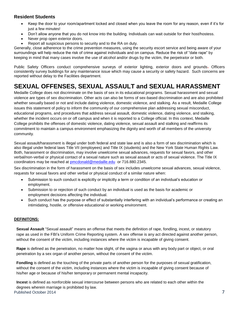## **Resident Students**

- Keep the door to your room/apartment locked and closed when you leave the room for any reason, even if it's for just a few minutes!
- Don't allow anyone that you do not know into the building. Individuals can wait outside for their host/hostess.
- Never prop open exterior doors.
- Report all suspicious persons to security and to the RA on duty.

Generally, close adherence to the crime prevention measures, using the security escort service and being aware of your surroundings will help reduce the risk of crime against individuals and on campus. Reduce the risk of "date rape" by keeping in mind that many cases involve the use of alcohol and/or drugs by the victim, the perpetrator or both.

Public Safety Officers conduct comprehensive surveys of exterior lighting, exterior doors and grounds. Officers consistently survey buildings for any maintenance issue which may cause a security or safety hazard. Such concerns are reported without delay to the Facilities department.

# **SEXUAL OFFENSES, SEXUAL ASSAULT and SEXUAL HARASSMENT**

Medaille College does not discriminate on the basis of sex in its educational programs. Sexual harassment and sexual violence are types of sex discrimination. Other acts can also be forms of sex-based discrimination and are also prohibited whether sexually based or not and include dating violence, domestic violence, and stalking. As a result, Medaille College issues this statement of policy to inform the community of our comprehensive plan addressing sexual misconduct, educational programs, and procedures that address sexual assault, domestic violence, dating violence, and stalking, whether the incident occurs on or off campus and when it is reported to a College official. In this context, Medaille College prohibits the offenses of domestic violence, dating violence, sexual assault and stalking and reaffirms its commitment to maintain a campus environment emphasizing the dignity and worth of all members of the university community.

Sexual assault/harassment is illegal under both federal and state law and is also a form of sex discrimination which is also illegal under federal laws Title VII (employees) and Title IX (students) and the New York State Human Rights Law. Both, harassment or discrimination, may involve unwelcome sexual advances, requests for sexual favors, and other verbal/non-verbal or physical contact of a sexual nature such as sexual assault or acts of sexual violence. The Title IX coordinators may be reached at **pmcdonald@medaille.edu** or 716.880.2345.

Sex discrimination in the form of harassment on the basis of sex includes unwelcome sexual advances, sexual violence, requests for sexual favors and other verbal or physical conduct of a similar nature when:

- Submission to such conduct is explicitly or implicitly a term or condition of an individual's education or employment.
- Submission to or rejection of such conduct by an individual is used as the basis for academic or employment decisions affecting the individual.
- Such conduct has the purpose or effect of substantially interfering with an individual's performance or creating an intimidating, hostile, or offensive educational or working environment.

#### **DEFINITONS:**

**Sexual Assault** "Sexual assault" means an offense that meets the definition of rape, fondling, incest, or statutory rape as used in the FBI's Uniform Crime Reporting system. A sex offense is any act directed against another person, without the consent of the victim, including instances where the victim is incapable of giving consent.

**Rape** is defined as the penetration, no matter how slight, of the vagina or anus with any body part or object, or oral penetration by a sex organ of another person, without the consent of the victim.

**Fondling** is defined as the touching of the private parts of another person for the purposes of sexual gratification, without the consent of the victim, including instances where the victim is incapable of giving consent because of his/her age or because of his/her temporary or permanent mental incapacity.

Published October 2014 7 **Incest** is defined as nonforcible sexual intercourse between persons who are related to each other within the degrees wherein marriage is prohibited by law.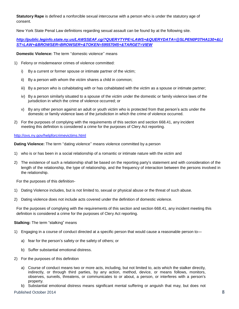**Statutory Rape** is defined a nonforcible sexual intercourse with a person who is under the statutory age of consent.

New York State Penal Law definitions regarding sexual assault can be found by at the following site.

#### *[http://public.leginfo.state.ny.us/LAWSSEAF.cgi?QUERYTYPE=LAWS+&QUERYDATA=@SLPEN0P3THA130+&LI](http://public.leginfo.state.ny.us/LAWSSEAF.cgi?QUERYTYPE=LAWS+&QUERYDATA=@SLPEN0P3THA130+&LIST=LAW+&BROWSER=BROWSER+&TOKEN=59557045+&TARGET=VIEW) [ST=LAW+&BROWSER=BROWSER+&TOKEN=59557045+&TARGET=VIEW](http://public.leginfo.state.ny.us/LAWSSEAF.cgi?QUERYTYPE=LAWS+&QUERYDATA=@SLPEN0P3THA130+&LIST=LAW+&BROWSER=BROWSER+&TOKEN=59557045+&TARGET=VIEW)*

**Domestic Violence:** The term ''domestic violence'' means

- 1) Felony or misdemeanor crimes of violence committed:
	- i) By a current or former spouse or intimate partner of the victim;
	- ii) By a person with whom the victim shares a child in common;
	- iii) By a person who is cohabitating with or has cohabitated with the victim as a spouse or intimate partner;
	- iv) By a person similarly situated to a spouse of the victim under the domestic or family violence laws of the jurisdiction in which the crime of violence occurred; or
	- v) By any other person against an adult or youth victim who is protected from that person's acts under the domestic or family violence laws of the jurisdiction in which the crime of violence occurred.
- 2) For the purposes of complying with the requirements of this section and section 668.41, any incident meeting this definition is considered a crime for the purposes of Clery Act reporting.

#### <http://ovs.ny.gov/helpforcrimevictims.html>

**Dating Violence:** The term ''dating violence'' means violence committed by a person

- 1) who is or has been in a social relationship of a romantic or intimate nature with the victim and
- 2) The existence of such a relationship shall be based on the reporting party's statement and with consideration of the length of the relationship, the type of relationship, and the frequency of interaction between the persons involved in the relationship.

For the purposes of this definition-

- 1) Dating Violence includes, but is not limited to, sexual or physical abuse or the threat of such abuse.
- 2) Dating violence does not include acts covered under the definition of domestic violence.

For the purposes of complying with the requirements of this section and section 668.41, any incident meeting this definition is considered a crime for the purposes of Clery Act reporting.

#### **Stalking:** The term "stalking" means

- 1) Engaging in a course of conduct directed at a specific person that would cause a reasonable person to
	- a) fear for the person's safety or the safety of others; or
	- b) Suffer substantial emotional distress.
- 2) For the purposes of this definition
	- a) Course of conduct means two or more acts, including, but not limited to, acts which the stalker directly, indirectly, or through third parties, by any action, method, device, or means follows, monitors, observes, surveils, threatens, or communicates to or about, a person, or interferes with a person's property.
	- b) Substantial emotional distress means significant mental suffering or anguish that may, but does not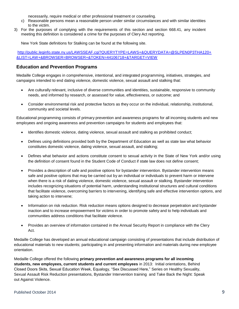necessarily, require medical or other professional treatment or counseling.

- c) Reasonable persons mean a reasonable person under similar circumstances and with similar identities to the victim.
- 3) For the purposes of complying with the requirements of this section and section 668.41, any incident meeting this definition is considered a crime for the purposes of Clery Act reporting.

New York State definitions for Stalking can be found at the following site.

[http://public.leginfo.state.ny.us/LAWSSEAF.cgi?QUERYTYPE=LAWS+&QUERYDATA=@SLPEN0P3THA120+](http://public.leginfo.state.ny.us/LAWSSEAF.cgi?QUERYTYPE=LAWS+&QUERYDATA=@SLPEN0P3THA120+&LIST=LAW+&BROWSER=BROWSER+&TOKEN=44106718+&TARGET=VIEW) [&LIST=LAW+&BROWSER=BROWSER+&TOKEN=44106718+&TARGET=VIEW](http://public.leginfo.state.ny.us/LAWSSEAF.cgi?QUERYTYPE=LAWS+&QUERYDATA=@SLPEN0P3THA120+&LIST=LAW+&BROWSER=BROWSER+&TOKEN=44106718+&TARGET=VIEW)

#### **Education and Prevention Programs**

Medaille College engages in comprehensive, intentional, and integrated programming, initiatives, strategies, and campaigns intended to end dating violence, domestic violence, sexual assault and stalking that:

- Are culturally relevant, inclusive of diverse communities and identities, sustainable, responsive to community needs, and informed by research, or assessed for value, effectiveness, or outcome; and
- Consider environmental risk and protective factors as they occur on the individual, relationship, institutional, community and societal levels.

Educational programming consists of primary prevention and awareness programs for all incoming students and new employees and ongoing awareness and prevention campaigns for students and employees that:

- Identifies domestic violence, dating violence, sexual assault and stalking as prohibited conduct;
- Defines using definitions provided both by the Department of Education as well as state law what behavior constitutes domestic violence, dating violence, sexual assault, and stalking;
- Defines what behavior and actions constitute consent to sexual activity in the State of New York and/or using the definition of consent found in the Student Code of Conduct if state law does not define consent;
- Provides a description of safe and positive options for bystander intervention. Bystander intervention means safe and positive options that may be carried out by an individual or individuals to prevent harm or intervene when there is a risk of dating violence, domestic violence, sexual assault or stalking. Bystander intervention includes recognizing situations of potential harm, understanding institutional structures and cultural conditions that facilitate violence, overcoming barriers to intervening, identifying safe and effective intervention options, and taking action to intervene;
- Information on risk reduction. Risk reduction means options designed to decrease perpetration and bystander inaction and to increase empowerment for victims in order to promote safety and to help individuals and communities address conditions that facilitate violence.
- Provides an overview of information contained in the Annual Security Report in compliance with the Clery Act.

Medaille College has developed an annual educational campaign consisting of presentations that include distribution of educational materials to new students; participating in and presenting information and materials during new employee orientation.

Medaille College offered the following **primary prevention and awareness programs for all incoming students, new employees, current students and current employees** in 2013: Initial orientations, Behind Closed Doors Skits, Sexual Education Week, Equalogy, "Sex Discussed Here," Series on Healthy Sexuality, Sexual Assault Risk Reduction presentations, Bystander Intervention training and Take Back the Night: Speak out Against Violence.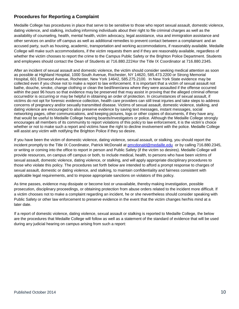# **Procedures for Reporting a Complaint**

Medaille College has procedures in place that serve to be sensitive to those who report sexual assault, domestic violence, dating violence, and stalking, including informing individuals about their right to file criminal charges as well as the availability of counseling, health, mental health, victim advocacy, legal assistance, visa and immigration assistance and other services on and/or off campus as well as additional remedies to prevent contact between a complainant and an accused party, such as housing, academic, transportation and working accommodations, if reasonably available. Medaille College will make such accommodations, if the victim requests them and if they are reasonably available, regardless of whether the victim chooses to report the crime to the Campus Public Safety or the Brighton Police Department. Students and employees should contact the Dean of Students at 716.880.2224or the Title IX Coordinator at 716.880.2345.

After an incident of sexual assault and domestic violence, the victim should consider seeking medical attention as soon as possible at Highland Hospital, 1000 South Avenue, Rochester, NY 14620, 585.473.2200 or Strong Memorial Hospital, 601 Elmwood Avenue, Rochester, New York 14642, 585.275.2100. In New York State evidence may be collected even if you chose not to make a report to law enforcement. It is important that a victim of sexual assault not bathe, douche, smoke, change clothing or clean the bed/linen/area where they were assaulted if the offense occurred within the past 96 hours so that evidence may be preserved that may assist in proving that the alleged criminal offense occurred/or is occurring or may be helpful in obtaining an order of protection. In circumstances of sexual assault, if victims do not opt for forensic evidence collection, health care providers can still treat injuries and take steps to address concerns of pregnancy and/or sexually transmitted disease. Victims of sexual assault, domestic violence, stalking, and dating violence are encouraged to also preserve evidence by saving text messages, instant messages, social networking pages, other communications, and keeping pictures, logs or other copies of documents, if they have any, that would be useful to Medaille College hearing boards/investigators or police. Although the Medaille College strongly encourages all members of its community to report violations of this policy to law enforcement, it is the victim's choice whether or not to make such a report and victims have the right to decline involvement with the police. Medaille College will assist any victim with notifying the Brighton Police if they so desire.

If you have been the victim of domestic violence, dating violence, sexual assault, or stalking, you should report the incident promptly to the Title IX Coordinator, Patrick McDonald at [pmcdonald@medaille.edu](mailto:pmcdonald@medaille.edu) or by calling 716.880.2345, or writing or coming into the office to report in person and Public Safety (if the victim so desires). Medaille College will provide resources, on campus off campus or both, to include medical, health, to persons who have been victims of sexual assault, domestic violence, dating violence, or stalking, and will apply appropriate disciplinary procedures to those who violate this policy. The procedures set forth below are intended to afford a prompt response to charges of sexual assault, domestic or dating violence, and stalking, to maintain confidentiality and fairness consistent with applicable legal requirements, and to impose appropriate sanctions on violators of this policy.

As time passes, evidence may dissipate or become lost or unavailable, thereby making investigation, possible prosecution, disciplinary proceedings, or obtaining protection from abuse orders related to the incident more difficult. If a victim chooses not to make a complaint regarding an incident, he or she nevertheless should consider speaking with Public Safety or other law enforcement to preserve evidence in the event that the victim changes her/his mind at a later date.

If a report of domestic violence, dating violence, sexual assault or stalking is reported to Medaille College, the below are the procedures that Medaille College will follow as well as a statement of the standard of evidence that will be used during any judicial hearing on campus arising from such a report: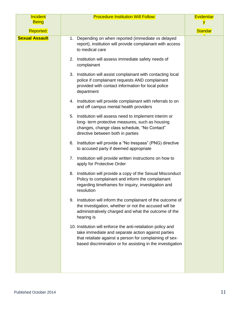| Incident                                                  | <b>Procedure Institution Will Follow:</b>                                                                                                                                                                                                                                                                                                                                                                                                                                                                                                                                                                                                                                                                                                                                                                                                                                                                                                                                                     | <b>Evidentiar</b> |
|-----------------------------------------------------------|-----------------------------------------------------------------------------------------------------------------------------------------------------------------------------------------------------------------------------------------------------------------------------------------------------------------------------------------------------------------------------------------------------------------------------------------------------------------------------------------------------------------------------------------------------------------------------------------------------------------------------------------------------------------------------------------------------------------------------------------------------------------------------------------------------------------------------------------------------------------------------------------------------------------------------------------------------------------------------------------------|-------------------|
|                                                           |                                                                                                                                                                                                                                                                                                                                                                                                                                                                                                                                                                                                                                                                                                                                                                                                                                                                                                                                                                                               | <b>Standar</b>    |
| <b>Being</b><br><b>Reported:</b><br><b>Sexual Assault</b> | Depending on when reported (immediate vs delayed<br>1.<br>report), institution will provide complainant with access<br>to medical care<br>2.<br>Institution will assess immediate safety needs of<br>complainant<br>3. Institution will assist complainant with contacting local<br>police if complainant requests AND complainant<br>provided with contact information for local police<br>department<br>4. Institution will provide complainant with referrals to on<br>and off campus mental health providers<br>5. Institution will assess need to implement interim or<br>long- term protective measures, such as housing<br>changes, change class schedule, "No Contact"<br>directive between both in parties<br>Institution will provide a "No trespass" (PNG) directive<br>6.<br>to accused party if deemed appropriate<br>Institution will provide written instructions on how to<br>7.<br>apply for Protective Order<br>8. Institution will provide a copy of the Sexual Misconduct | У                 |
|                                                           | Policy to complainant and inform the complainant<br>regarding timeframes for inquiry, investigation and<br>resolution<br>Institution will inform the complainant of the outcome of<br>9.<br>the investigation, whether or not the accused will be<br>administratively charged and what the outcome of the<br>hearing is<br>10. Institution will enforce the anti-retaliation policy and<br>take immediate and separate action against parties<br>that retaliate against a person for complaining of sex-<br>based discrimination or for assisting in the investigation                                                                                                                                                                                                                                                                                                                                                                                                                        |                   |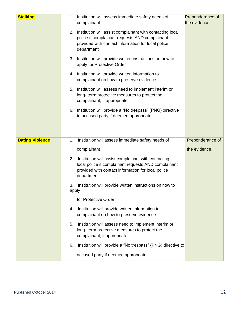| <b>Stalking</b>        | Institution will assess immediate safety needs of<br>1.<br>complainant                                                                                                                | Preponderance of<br>the evidence |
|------------------------|---------------------------------------------------------------------------------------------------------------------------------------------------------------------------------------|----------------------------------|
|                        | Institution will assist complainant with contacting local<br>2.<br>police if complainant requests AND complainant<br>provided with contact information for local police<br>department |                                  |
|                        | 3. Institution will provide written instructions on how to<br>apply for Protective Order                                                                                              |                                  |
|                        | 4. Institution will provide written information to<br>complainant on how to preserve evidence.                                                                                        |                                  |
|                        | 5. Institution will assess need to implement interim or<br>long- term protective measures to protect the<br>complainant, if appropriate                                               |                                  |
|                        | 6. Institution will provide a "No trespass" (PNG) directive<br>to accused party if deemed appropriate                                                                                 |                                  |
|                        |                                                                                                                                                                                       |                                  |
| <b>Dating Violence</b> | Institution will assess immediate safety needs of<br>1.                                                                                                                               | Preponderance of                 |
|                        | complainant                                                                                                                                                                           | the evidence.                    |
|                        | Institution will assist complainant with contacting<br>2.<br>local police if complainant requests AND complainant<br>provided with contact information for local police<br>department |                                  |
|                        | 3.<br>Institution will provide written instructions on how to<br>apply                                                                                                                |                                  |
|                        | for Protective Order                                                                                                                                                                  |                                  |
|                        | Institution will provide written information to<br>4.<br>complainant on how to preserve evidence                                                                                      |                                  |
|                        | 5.<br>Institution will assess need to implement interim or<br>long-term protective measures to protect the<br>complainant, if appropriate                                             |                                  |
|                        | Institution will provide a "No trespass" (PNG) directive to<br>6.                                                                                                                     |                                  |
|                        | accused party if deemed appropriate                                                                                                                                                   |                                  |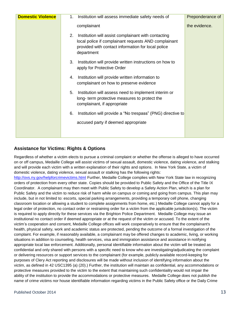| <b>Domestic Violence</b> | Institution will assess immediate safety needs of<br>1.                                                                                                                               | Preponderance of |
|--------------------------|---------------------------------------------------------------------------------------------------------------------------------------------------------------------------------------|------------------|
|                          | complainant                                                                                                                                                                           | the evidence.    |
|                          | Institution will assist complainant with contacting<br>2.<br>local police if complainant requests AND complainant<br>provided with contact information for local police<br>department |                  |
|                          | 3.<br>Institution will provide written instructions on how to<br>apply for Protective Order                                                                                           |                  |
|                          | Institution will provide written information to<br>4.<br>complainant on how to preserve evidence                                                                                      |                  |
|                          | 5.<br>Institution will assess need to implement interim or<br>long-term protective measures to protect the<br>complainant, if appropriate                                             |                  |
|                          | Institution will provide a "No trespass" (PNG) directive to<br>6.                                                                                                                     |                  |
|                          | accused party if deemed appropriate                                                                                                                                                   |                  |

# **Assistance for Victims: Rights & Options**

Regardless of whether a victim elects to pursue a criminal complaint or whether the offense is alleged to have occurred on or off campus, Medaille College will assist victims of sexual assault, domestic violence, dating violence, and stalking and will provide each victim with a written explanation of their rights and options. In New York State, a victim of domestic violence, dating violence, sexual assault or stalking has the following rights:

<http://ovs.ny.gov/helpforcrimevictims.html> Further, Medaille College complies with New York State law in recognizing orders of protection from every other state. Copies should be provided to Public Safety and the Office of the Title IX Coordinator. A complainant may then meet with Public Safety to develop a Safety Action Plan, which is a plan for Public Safety and the victim to reduce risk of harm while on campus or coming and going from campus. This plan may include, but in not limited to: escorts, special parking arrangements, providing a temporary cell phone, changing classroom location or allowing a student to complete assignments from home, etc.) Medaille College cannot apply for a legal order of protection, no contact order or restraining order for a victim from the applicable jurisdiction(s). The victim is required to apply directly for these services via the Brighton Police Department. Medaille College may issue an institutional no contact order if deemed appropriate or at the request of the victim or accused. To the extent of the victim's cooperation and consent, Medaille College offices will work cooperatively to ensure that the complainant's health, physical safety, work and academic status are protected, pending the outcome of a formal investigation of the complaint. For example, if reasonably available, a complainant may be offered changes to academic, living, or working situations in addition to counseling, health services, visa and immigration assistance and assistance in notifying appropriate local law enforcement. Additionally, personal identifiable information about the victim will be treated as confidential and only shared with persons with a specific need to know who are investigating/adjudicating the complaint or delivering resources or support services to the complainant (for example, publicly available record-keeping for purposes of Clery Act reporting and disclosures will be made without inclusion of identifying information about the victim, as defined in 42 USC1395 (a) (20).) Further, the institution will maintain as confidential, any accommodations or protective measures provided to the victim to the extent that maintaining such confidentiality would not impair the ability of the institution to provide the accommodations or protective measures. Medaille College does not publish the name of crime victims nor house identifiable information regarding victims in the Public Safety office or the Daily Crime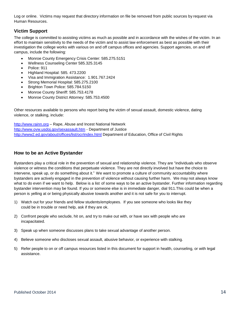Log or online. Victims may request that directory information on file be removed from public sources by request via Human Resources.

### **Victim Support**

The college is committed to assisting victims as much as possible and in accordance with the wishes of the victim. In an effort to maintain sensitivity to the needs of the victim and to assist law enforcement as best as possible with their investigation the college works with various on and off campus offices and agencies. Support agencies, on and off campus, include the following:

- Monroe County Emergency Crisis Center: 585.275.5151
- Wellness Counseling Center 585.325.3145
- Police: 911
- Highland Hospital: 585. 473.2200
- Visa and Immigration Assistance: 1.901.767.2424
- Strong Memorial Hospital: 585.275.2100
- Brighton Town Police: 585.784.5150
- Monroe County Sheriff: 585.753.4178
- Monroe County District Attorney: 585.753.4500

Other resources available to persons who report being the victim of sexual assault, domestic violence, dating violence, or stalking, include:

[http://www.rainn.org](http://www.rainn.org/) – Rape, Abuse and Incest National Network <http://www.ovw.usdoj.gov/sexassault.htm> - Department of Justice <http://www2.ed.gov/about/offices/list/ocr/index.html> Department of Education, Office of Civil Rights

## **How to be an Active Bystander**

Bystanders play a critical role in the prevention of sexual and relationship violence. They are "individuals who observe violence or witness the conditions that perpetuate violence. They are not directly involved but have the choice to intervene, speak up, or do something about it." We want to promote a culture of community accountability where bystanders are actively engaged in the prevention of violence without causing further harm. We may not always know what to do even if we want to help. Below is a list of some ways to be an active bystander. Further information regarding bystander intervention may be found. If you or someone else is in immediate danger, dial 911.This could be when a person is yelling at or being physically abusive towards another and it is not safe for you to interrupt.

- 1) Watch out for your friends and fellow students/employees. If you see someone who looks like they could be in trouble or need help, ask if they are ok.
- 2) Confront people who seclude, hit on, and try to make out with, or have sex with people who are incapacitated.
- 3) Speak up when someone discusses plans to take sexual advantage of another person.
- 4) Believe someone who discloses sexual assault, abusive behavior, or experience with stalking.
- 5) Refer people to on or off campus resources listed in this document for support in health, counseling, or with legal assistance.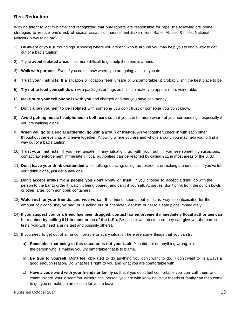## **Risk Reduction**

With no intent to victim blame and recognizing that only rapists are responsible for rape, the following are some strategies to reduce one's risk of sexual assault or harassment (taken from Rape, Abuse, & Incest National Network, [www.rainn.org\)](http://www.rainn.org/)

- 1) **Be aware** of your surroundings. Knowing where you are and who is around you may help you to find a way to get out of a bad situation.
- 2) Try to **avoid isolated areas.** It is more difficult to get help if no one is around.
- 3) **Walk with purpose.** Even if you don't know where you are going, act like you do.
- 4) **Trust your instincts.** If a situation or location feels unsafe or uncomfortable, it probably isn't the best place to be.
- 5) **Try not to load yourself down** with packages or bags as this can make you appear more vulnerable.
- 6) **Make sure your cell phone is with you** and charged and that you have cab money.
- 7) **Don't allow yourself to be isolated** with someone you don't trust or someone you don't know.
- 8) **Avoid putting music headphones in both ears** so that you can be more aware of your surroundings, especially if you are walking alone.
- 9) **When you go to a social gathering, go with a group of friends.** Arrive together, check in with each other throughout the evening, and leave together. Knowing where you are and who is around you may help you to find a way out of a bad situation.
- 10) **Trust your instincts.** If you feel unsafe in any situation, go with your gut. If you see something suspicious, contact law enforcement immediately (local authorities can be reached by calling 911 in most areas of the U.S.).
- 11) **Don't leave your drink unattended** while talking, dancing, using the restroom, or making a phone call. If you've left your drink alone, just get a new one.
- 12) **Don't accept drinks from people you don't know or trust.** If you choose to accept a drink, go with the person to the bar to order it, watch it being poured, and carry it yourself. At parties, don't drink from the punch bowls or other large, common open containers.
- 13) **Watch out for your friends, and vice versa.** If a friend seems out of it, is way too intoxicated for the amount of alcohol they've had, or is acting out of character, get him or her to a safe place immediately.
- 14) **If you suspect you or a friend has been drugged, contact law enforcement immediately (local authorities can be reached by calling 911 in most areas of the U.S.).** Be explicit with doctors so they can give you the correct tests (you will need a urine test and possibly others).
- 15) If you need to get out of an uncomfortable or scary situation here are some things that you can try:
	- a) **Remember that being in this situation is not your fault.** You did not do anything wrong, it is the person who is making you uncomfortable that is to blame.
	- b) **Be true to yourself.** Don't feel obligated to do anything you don't want to do. "I don't want to" is always a good enough reason. Do what feels right to you and what you are comfortable with.
	- c) H**ave a code word with your friends or family** so that if you don't feel comfortable you can call them and communicate your discomfort without the person you are with knowing. Your friends or family can then come to get you or make up an excuse for you to leave.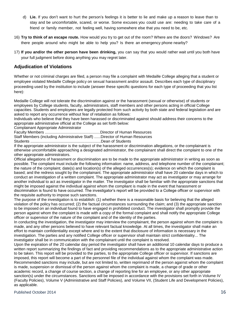- d) **Lie.** If you don't want to hurt the person's feelings it is better to lie and make up a reason to leave than to stay and be uncomfortable, scared, or worse. Some excuses you could use are: needing to take care of a friend or family member, not feeling well, having somewhere else that you need to be, etc.
- 16) **Try to think of an escape route.** How would you try to get out of the room? Where are the doors? Windows? Are there people around who might be able to help you? Is there an emergency phone nearby?
- 17) **If you and/or the other person have been drinking,** you can say that you would rather wait until you both have your full judgment before doing anything you may regret later.

### **Adjudication of Violations**

Whether or not criminal charges are filed, a person may file a complaint with Medaille College alleging that a student or employee violated Medaille College policy on sexual harassment and/or assault. Describes each type of disciplinary proceeding used by the institution to include (answer these specific questions for each type of proceeding that you list here):

Medaille College will not tolerate the discrimination against or the harassment (sexual or otherwise) of students or employees by College students, faculty, administrators, staff members and other persons acting in official College capacities. Students and employees are legally protected from such activity by both state and federal legislation and are asked to report any occurrence without fear of retaliation as follows:

Individuals who believe that they have been harassed or discriminated against should address their concerns to the appropriate administrative official at the College as set forth below:

Complainant Appropriate Administrator

Faculty Members ...................................................Director of Human Resources

Staff Members (including Administrative Staff) ......Director of Human Resources

Students .................................................................Dean of Students

If the appropriate administrator is the subject of the harassment or discrimination allegations, or the complainant is otherwise uncomfortable approaching a designated administrator, the complainant shall direct the complaint to one of the other appropriate administrators.

Official allegations of harassment or discrimination are to be made to the appropriate administrator in writing as soon as possible. The complaint must include the following information: name, address, and telephone number of the complainant; the nature of the complaint; date(s) and location(s) of the alleged occurrences(s); evidence on which the complaint is based; and the redress sought by the complainant. The appropriate administrator shall have 20 calendar days in which to conduct an investigation of a written complaint. The appropriate administrator may act as investigator or may arrange for another individual to act as investigator in the matter. The investigator shall be familiar with the appropriate sanctions that might be imposed against the individual against whom the compliant is made in the event that harassment or discrimination is found to have occurred. The investigator's report will be provided to a College officer or supervisor with the requisite authority to impose such sanctions.

The purpose of the investigation is to establish: (1) whether there is a reasonable basis for believing that the alleged violation of the policy has occurred; (2) the factual circumstances surrounding the claim; and (3) the appropriate sanction to be imposed on an individual found to have engaged in prohibited conduct. The investigator shall promptly provide the person against whom the complaint is made with a copy of the formal complaint and shall notify the appropriate College officer or supervisor of the nature of the complaint and of the identity of the parties.

In conducting the investigation, the investigator may interview the complainant, the person against whom the complaint is made, and any other persons believed to have relevant factual knowledge. At all times, the investigator shall make an effort to maintain confidentiality except where and to the extent that disclosure of information is necessary in the investigation. The parties and any notified College officer or supervisor shall maintain strict confidentiality... The investigator shall be in communication with the complainant until the complaint is resolved.

Upon the expiration of the 20 calendar day period the investigator shall have an additional 10 calendar days to produce a written report summarizing the findings of fact and providing recommendations as to the appropriate administrative action to be taken. This report will be provided to the parties, to the appropriate College officer or supervisor. If sanctions are imposed, this report will become a part of the personnel file of the individual against whom the complaint was made. Recommended sanctions may include, but are not limited to, written reprimand of the person against whom the complaint is made, suspension or dismissal of the person against whom the complaint is made, a change of grade or other academic record, a change of course section, a change of reporting line for an employee, or any other appropriate sanction(s) under the circumstances. Sanctions will be imposed in accordance with the provisions set forth in Volume IV (Faculty Policies), Volume V (Administrative and Staff Policies), and Volume VII, (Student Life and Development Policies), as applicable.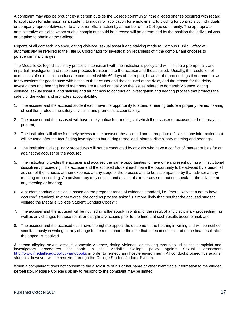A complaint may also be brought by a person outside the College community if the alleged offense occurred with regard to application for admission as a student, to inquiry or application for employment, to bidding for contracts by individuals or company representatives, or to any other official action by a member of the College community. The appropriate administrative official to whom such a complaint should be directed will be determined by the position the individual was attempting to obtain at the College.

Reports of all domestic violence, dating violence, sexual assault and stalking made to Campus Public Safety will automatically be referred to the Title IX Coordinator for investigation regardless of if the complainant chooses to pursue criminal charges.

The Medaille College disciplinary process is consistent with the institution's policy and will include a prompt, fair, and impartial investigation and resolution process transparent to the accuser and the accused. Usually, the resolution of complaints of sexual misconduct are completed within 60 days of the report, however the proceedings timeframe allows for extensions for good cause with notice to the accuser and the accused of the delay and the reason for the delay. Investigators and hearing board members are trained annually on the issues related to domestic violence, dating violence, sexual assault, and stalking and taught how to conduct an investigation and hearing process that protects the safety of the victim and promotes accountability.

- 1. The accuser and the accused student each have the opportunity to attend a hearing before a properly trained hearing official that protects the safety of victims and promotes accountability;
- 2. The accuser and the accused will have timely notice for meetings at which the accuser or accused, or both, may be present;
- 3. The institution will allow for timely access to the accuser, the accused and appropriate officials to any information that will be used after the fact-finding investigation but during formal and informal disciplinary meeting and hearings;
- 4. The institutional disciplinary procedures will not be conducted by officials who have a conflict of interest or bias for or against the accuser or the accused;
- 5. The institution provides the accuser and accused the same opportunities to have others present during an institutional disciplinary proceeding. The accuser and the accused student each have the opportunity to be advised by a personal advisor of their choice, at their expense, at any stage of the process and to be accompanied by that advisor at any meeting or proceeding. An advisor may only consult and advise his or her advisee, but not speak for the advisee at any meeting or hearing;
- 6. A student conduct decision is based on the preponderance of evidence standard, i.e. "more likely than not to have occurred" standard. In other words, the conduct process asks: "is it more likely than not that the accused student violated the Medaille College Student Conduct Code?" ;
- 7. The accuser and the accused will be notified simultaneously in writing of the result of any disciplinary proceeding, as well as any changes to those result or disciplinary actions prior to the time that such results become final; and
- 8. The accuser and the accused each have the right to appeal the outcome of the hearing in writing and will be notified simultaneously in writing, of any change to the result prior to the time that it becomes final and of the final result after the appeal is resolved.

A person alleging sexual assault, domestic violence, dating violence, or stalking may also utilize the complaint and investigatory procedures set forth in the Medaille College policy against Sexual Harassment <http://www.medaille.edu/policy-handbooks> in order to remedy any hostile environment. All conduct proceedings against students, however, will be resolved through the College Student Judicial System.

When a complainant does not consent to the disclosure of his or her name or other identifiable information to the alleged perpetrator, Medaille College's ability to respond to the complaint may be limited.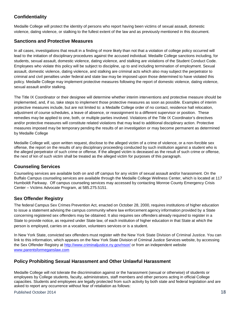# **Confidentiality**

Medaille College will protect the identity of persons who report having been victims of sexual assault, domestic violence, dating violence, or stalking to the fullest extent of the law and as previously mentioned in this document.

## **Sanctions and Protective Measures**

In all cases, investigations that result in a finding of more likely than not that a violation of college policy occurred will lead to the initiation of disciplinary procedures against the accused individual. Medaille College sanctions including, for students, sexual assault, domestic violence, dating violence, and stalking are violations of the Student Conduct Code. Employees who violate this policy will be subject to discipline, up to and including termination of employment. Sexual assault, domestic violence, dating violence, and stalking are criminal acts which also may subject the perpetrator to criminal and civil penalties under federal and state law may be imposed upon those determined to have violated this policy. Medaille College may implement protective measures following the report of domestic violence, dating violence, sexual assault and/or stalking.

The Title IX Coordinator or their designee will determine whether interim interventions and protective measure should be implemented, and, if so, take steps to implement those protective measures as soon as possible. Examples of interim protective measures include, but are not limited to: a Medaille College order of no contact, residence hall relocation, adjustment of course schedules, a leave of absence, or reassignment to a different supervisor or position. These remedies may be applied to one, both, or multiple parties involved. Violations of the Title IX Coordinator's directives and/or protective measures will constitute related violations that may lead to additional disciplinary action. Protective measures imposed may be temporary pending the results of an investigation or may become permanent as determined by Medaille College

Medaille College will, upon written request, disclose to the alleged victim of a crime of violence, or a non-forcible sex offense, the report on the results of any disciplinary proceeding conducted by such institution against a student who is the alleged perpetrator of such crime or offense. If the alleged victim is deceased as the result of such crime or offense, the next of kin of such victim shall be treated as the alleged victim for purposes of this paragraph.

# **Counseling Services**

Counseling services are available both on and off campus for any victim of sexual assault and/or harassment. On the Buffalo Campus counseling services are available through the Medaille College Wellness Center, which is located at 117 Humboldt Parkway. Off campus counseling services may accessed by contacting Monroe County Emergency Crisis Center – Victims Advocate Program, at 585.275.5151.

# **Sex Offender Registry**

The federal Campus Sex Crimes Prevention Act, enacted on October 28, 2000, requires institutions of higher education to issue a statement advising the campus community where law enforcement agency information provided by a State concerning registered sex offenders may be obtained. It also requires sex offenders already required to register in a State to provide notice, as required under State law, of each institution of higher education in that State at which the person is employed, carries on a vocation, volunteers services or is a student.

In New York State, convicted sex offenders must register with the New York State Division of Criminal Justice. You can link to this information, which appears on the New York State Division of Criminal Justice Services website, by accessing the Sex Offender Registry at<http://www.criminaljustice.ny.gov/nsor/> or from an independent website [www.parentsformeganslaw.com](http://www.parentsformeganslaw.com/)

# **Policy Prohibiting Sexual Harassment and Other Unlawful Harassment**

Medaille College will not tolerate the discrimination against or the harassment (sexual or otherwise) of students or employees by College students, faculty, administrators, staff members and other persons acting in official College capacities. Students and employees are legally protected from such activity by both state and federal legislation and are asked to report any occurrence without fear of retaliation as follows: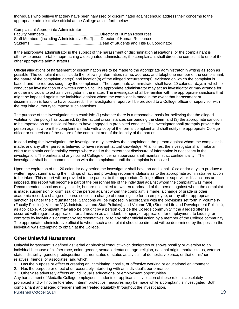Individuals who believe that they have been harassed or discriminated against should address their concerns to the appropriate administrative official at the College as set forth below:

Complainant Appropriate Administrator

| Staff Members (including Administrative Staff) Director of Human Resources |  |
|----------------------------------------------------------------------------|--|
|                                                                            |  |

If the appropriate administrator is the subject of the harassment or discrimination allegations, or the complainant is otherwise uncomfortable approaching a designated administrator, the complainant shall direct the complaint to one of the other appropriate administrators.

Official allegations of harassment or discrimination are to be made to the appropriate administrator in writing as soon as possible. The complaint must include the following information: name, address, and telephone number of the complainant; the nature of the complaint; date(s) and location(s) of the alleged occurrences(s); evidence on which the complaint is based; and the redress sought by the complainant. The appropriate administrator shall have 20 calendar days in which to conduct an investigation of a written complaint. The appropriate administrator may act as investigator or may arrange for another individual to act as investigator in the matter. The investigator shall be familiar with the appropriate sanctions that might be imposed against the individual against whom the compliant is made in the event that harassment or discrimination is found to have occurred. The investigator's report will be provided to a College officer or supervisor with the requisite authority to impose such sanctions.

The purpose of the investigation is to establish: (1) whether there is a reasonable basis for believing that the alleged violation of the policy has occurred; (2) the factual circumstances surrounding the claim; and (3) the appropriate sanction to be imposed on an individual found to have engaged in prohibited conduct. The investigator shall promptly provide the person against whom the complaint is made with a copy of the formal complaint and shall notify the appropriate College officer or supervisor of the nature of the complaint and of the identity of the parties.

In conducting the investigation, the investigator may interview the complainant, the person against whom the complaint is made, and any other persons believed to have relevant factual knowledge. At all times, the investigator shall make an effort to maintain confidentiality except where and to the extent that disclosure of information is necessary in the investigation. The parties and any notified College officer or supervisor shall maintain strict confidentiality.. The investigator shall be in communication with the complainant until the complaint is resolved.

Upon the expiration of the 20 calendar day period the investigator shall have an additional 10 calendar days to produce a written report summarizing the findings of fact and providing recommendations as to the appropriate administrative action to be taken. This report will be provided to the parties, to the appropriate College officer or supervisor. If sanctions are imposed, this report will become a part of the personnel file of the individual against whom the complaint was made. Recommended sanctions may include, but are not limited to, written reprimand of the person against whom the complaint is made, suspension or dismissal of the person against whom the complaint is made, a change of grade or other academic record, a change of course section, a change of reporting line for an employee, or any other appropriate sanction(s) under the circumstances. Sanctions will be imposed in accordance with the provisions set forth in Volume IV (Faculty Policies), Volume V (Administrative and Staff Policies), and Volume VII, (Student Life and Development Policies), as applicable. A complaint may also be brought by a person outside the College community if the alleged offense occurred with regard to application for admission as a student, to inquiry or application for employment, to bidding for contracts by individuals or company representatives, or to any other official action by a member of the College community. The appropriate administrative official to whom such a complaint should be directed will be determined by the position the individual was attempting to obtain at the College.

### **Other Unlawful Harassment**

Unlawful harassment is defined as verbal or physical conduct which denigrates or shows hostility or aversion to an individual because of his/her race, color, gender, sexual orientation, age, religion, national origin, marital status, veteran status, disability, genetic predisposition, carrier status or status as a victim of domestic violence, or that of his/her relatives, friends, or associates, and which:

- 1. Has the purpose or effect of creating an intimidating, hostile, or offensive working or educational environment.
- 2. Has the purpose or effect of unreasonably interfering with an individual's performance.
- 3. Otherwise adversely affects an individual's educational or employment opportunities.

Any harassment of Medaille College employees, students or applicants in violation of these rules is absolutely prohibited and will not be tolerated. Interim protective measures may be made while a complaint is investigated. Both complainant and alleged offender shall be treated equitably throughout the investigation.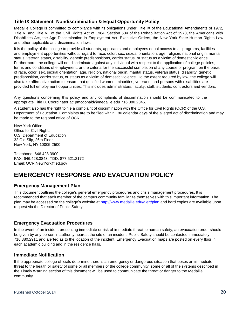# **Title IX Statement: Nondiscrimination & Equal Opportunity Policy**

Medaille College is committed to compliance with its obligations under Title IX of the Educational Amendments of 1972, Title VI and Title VII of the Civil Rights Act of 1964, Section 504 of the Rehabilitation Act of 1973, the Americans with Disabilities Act, the Age Discrimination in Employment Act, Executive Orders, the New York State Human Rights Law and other applicable anti-discrimination laws.

It is the policy of the college to provide all students, applicants and employees equal access to all programs, facilities and employment opportunities without regard to race, color, sex, sexual orientation, age, religion, national origin, marital status, veteran status, disability, genetic predispositions, carrier status, or status as a victim of domestic violence. Furthermore, the college will not discriminate against any individual with respect to the application of college policies, terms and conditions of employment, or the criteria for the successful completion of any course or program on the basis of race, color, sex, sexual orientation, age, religion, national origin, marital status, veteran status, disability, genetic predisposition, carrier status, or status as a victim of domestic violence. To the extent required by law, the college will also take affirmative action to ensure that qualified women, minorities, veterans, and persons with disabilities are provided full employment opportunities. This includes administrators, faculty, staff, students, contractors and vendors.

Any questions concerning this policy and any complaints of discrimination should be communicated to the appropriate Title IX Coordinator at: pmcdonald@medaille.edu 716.880.2345.

A student also has the right to file a complaint of discrimination with the Office for Civil Rights (OCR) of the U.S. Department of Education. Complaints are to be filed within 180 calendar days of the alleged act of discrimination and may be made to the regional office of OCR:

New York Office Office for Civil Rights U.S. Department of Education 32 Old Slip, 26th Floor New York, NY 10005-2500

Telephone: 646.428.3900 FAX: 646.428.3843; TDD: 877.521.2172 Email: OCR.NewYork@ed.gov

# **EMERGENCY RESPONSE AND EVACUATION POLICY**

### **Emergency Management Plan**

This document outlines the college's general emergency procedures and crisis management procedures. It is recommended that each member of the campus community familiarize themselves with this important information. The plan may be accessed on the college's website at<http://www.medaille.edu/alert/plan> and hard copies are available upon request via the Director of Public Safety.

# **Emergency Evacuation Procedures**

In the event of an incident presenting immediate or risk of immediate threat to human safety, an evacuation order should be given by any person in authority nearest the site of an incident. Public Safety should be contacted immediately, 716.880.2911 and alerted as to the location of the incident. Emergency Evacuation maps are posted on every floor in each academic building and in the residence halls.

### **Immediate Notification**

If the appropriate college officials determine there is an emergency or dangerous situation that poses an immediate threat to the health or safety of some or all members of the college community, some or all of the systems described in the Timely Warning section of this document will be used to communicate the threat or danger to the Medaille community.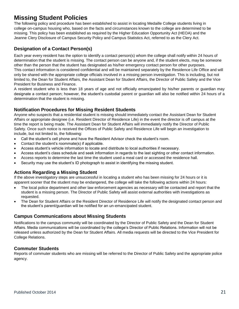# **Missing Student Policies**

The following policy and procedure has been established to assist in locating Medaille College students living in college on-campus housing who, based on the facts and circumstances known to the college are determined to be missing. This policy has been established as required by the Higher Education Opportunity Act (HEOA) and the Jeanne Clery Disclosure of Campus Security Policy and Campus Statistics Act, referred to as the Clery Act.

## **Designation of a Contact Person(s)**

Each year every resident has the option to identify a contact person(s) whom the college shall notify within 24 hours of determination that the student is missing. The contact person can be anyone and, if the student elects, may be someone other than the person that the student has designated as his/her emergency contact person for other purposes. This contact information is considered confidential and will be maintained separately by the Residence Life Office and will only be shared with the appropriate college officials involved in a missing person investigation. This is including, but not limited to, the Dean for Student Affairs, the Assistant Dean for Student Affairs, the Director of Public Safety and the Vice President for Business and Finance.

A resident student who is less than 18 years of age and not officially emancipated by his/her parents or guardian may designate a contact person; however, the student's custodial parent or guardian will also be notified within 24 hours of a determination that the student is missing.

#### **Notification Procedures for Missing Resident Students**

Anyone who suspects that a residential student is missing should immediately contact the Assistant Dean for Student Affairs or appropriate designee (i.e. Resident Director of Residence Life) in the event the director is off campus at the time the report is being made. The Assistant Dean for Student Affairs will immediately notify the Director of Public Safety. Once such notice is received the Offices of Public Safety and Residence Life will begin an investigation to include, but not limited to, the following:

- Call the student's cell phone and have the Resident Advisor check the student's room.
- Contact the student's roommate(s) if applicable.
- Access student's vehicle information to locate and distribute to local authorities if necessary.
- Access student's class schedule and seek information in regards to the last sighting or other contact information.
- Access reports to determine the last time the student used a meal card or accessed the residence hall.
- Security may use the student's ID photograph to assist in identifying the missing student.

### **Actions Regarding a Missing Student**

If the above investigatory steps are unsuccessful in locating a student who has been missing for 24 hours or it is apparent sooner that the student may be endangered, the college will take the following actions within 24 hours:

- The local police department and other law enforcement agencies as necessary will be contacted and report that the student is a missing person. The Director of Public Safety will assist external authorities with investigations as requested.
- The Dean for Student Affairs or the Resident Director of Residence Life will notify the designated contact person and the student's parent/guardian will be notified for an un-emancipated student.

### **Campus Communications about Missing Students**

Notifications to the campus community will be coordinated by the Director of Public Safety and the Dean for Student Affairs. Media communications will be coordinated by the college's Director of Public Relations. Information will not be released unless authorized by the Dean for Student Affairs. All media requests will be directed to the Vice President for College Relations.

### **Commuter Students**

Reports of commuter students who are missing will be referred to the Director of Public Safety and the appropriate police agency.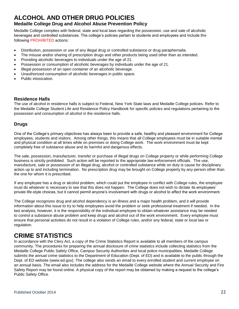# **ALCOHOL AND OTHER DRUG POLICIES**

# **Medaille College Drug and Alcohol Abuse Prevention Policy**

Medaille College complies with federal, state and local laws regarding the possession, use and sale of alcoholic beverages and controlled substances. The college's policies pertain to students and employees and include the following PROHIBITED actions:

- Distribution, possession or use of any illegal drug or controlled substance or drug paraphernalia.
- The misuse and/or sharing of prescription drugs and other products being used other than as intended.
- Providing alcoholic beverages to individuals under the age of 21.
- Possession or consumption of alcoholic beverages by individuals under the age of 21.
- Illegal possession of an open container of an alcoholic beverage.
- Unauthorized consumption of alcoholic beverages in public space.
- Public intoxication.

#### **Residence Halls**

The use of alcohol in residence halls is subject to Federal, New York State laws and Medaille College policies. Refer to the Medaille College Student Life and Residence Policy Handbook for specific policies and regulations pertaining to the possession and consumption of alcohol in the residence halls.

### **Drugs**

One of the College's primary objectives has always been to provide a safe, healthy and pleasant environment for College employees, students and visitors. Among other things, this means that all College employees must be in suitable mental and physical condition at all times while on premises or doing College work. The work environment must be kept completely free of substance abuse and its harmful and dangerous effects.

The sale, possession, manufacturer, transfer or purchase of illegal drugs on College property or while performing College business is strictly prohibited. Such action will be reported to the appropriate law enforcement officials. The use, manufacture, sale or possession of an illegal drug, alcohol or controlled substance while on duty is cause for disciplinary action up to and including termination. No prescription drug may be brought on College property by any person other than the one for whom it is prescribed.

If any employee has a drug or alcohol problem, which could put the employee in conflict with College rules, the employee must do whatever is necessary to see that this does not happen. The College does not wish to dictate its employees' private life-style choices, but it cannot permit anyone's involvement with drugs or alcohol to affect the work environment.

The College recognizes drug and alcohol dependency is an illness and a major health problem, and it will provide information about this issue to try to help employees avoid the problem or seek professional treatment if needed. In the last analysis, however, it is the responsibility of the individual employee to obtain whatever assistance may be needed to control a substance abuse problem and keep drugs and alcohol out of the work environment. Every employee must ensure that personal activities do not result in a violation of College rules, and/or any federal, state or local law or regulation.

# **CRIME STATISTICS**

In accordance with the Clery Act, a copy of the Crime Statistics Report is available to all members of the campus community. The procedures for preparing the annual disclosure of crime statistics include collecting statistics from the Medaille College Public Safety Office, Campus Security Authorities and local police municipalities. Medaille College submits the annual crime statistics to the Department of Education (Dept. of ED) and is available to the public through the Dept. of ED website (www.ed.gov). The college also sends an email to every enrolled student and current employee on an annual basis. The email also includes the address for the Medaille College website where the Annual Security and Fire Safety Report may be found online. A physical copy of the report may be obtained by making a request to the college's Public Safety Office.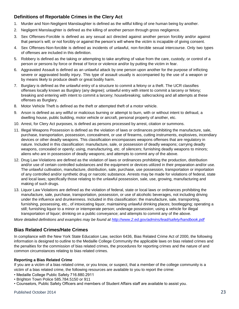# **Definitions of Reportable Crimes in the Clery Act**

- 1. Murder and Non-Negligent Manslaughter is defined as the willful killing of one human being by another.
- 2. Negligent Manslaughter is defined as the killing of another person through gross negligence.
- 3. Sex Offenses-Forcible is defined as any sexual act directed against another person forcibly and/or against that person's will; or not forcibly or against the person's will where the victim is incapable of giving consent.
- 4. Sex Offenses-Non-forcible is defined as incidents of unlawful, non-forcible sexual intercourse. Only two types of offenses are included in this definition.
- 5. Robbery is defined as the taking or attempting to take anything of value from the care, custody, or control of a person or persons by force or threat of force or violence and/or by putting the victim in fear.
- 6. Aggravated Assault is defined as an unlawful attack by one person upon another for the purpose of inflicting severe or aggravated bodily injury. This type of assault usually is accompanied by the use of a weapon or by means likely to produce death or great bodily harm.
- 7. Burglary is defined as the unlawful entry of a structure to commit a felony or a theft. The UCR classifies offenses locally known as Burglary (any degree); unlawful entry with intent to commit a larceny or felony; breaking and entering with intent to commit a larceny; housebreaking; safecracking and all attempts at these offenses as Burglary.
- 8. Motor Vehicle Theft is defined as the theft or attempted theft of a motor vehicle.
- 9. Arson is defined as any willful or malicious burning or attempt to burn, with or without intent to defraud, a dwelling house, public building, motor vehicle or aircraft, personal property of another, etc.
- 10. Arrest, for Clery Act purposes, is defined as persons processed by arrest, citation or summons.
- 11. Illegal Weapons Possession is defined as the violation of laws or ordinances prohibiting the manufacture, sale, purchase, transportation, possession, concealment, or use of firearms, cutting instruments, explosives, incendiary devices or other deadly weapons. This classification encompasses weapons offenses that are regulatory in nature. Included in this classification: manufacture, sale, or possession of deadly weapons; carrying deadly weapons, concealed or openly; using, manufacturing, etc. of silencers; furnishing deadly weapons to minors; aliens who are in possession of deadly weapons; and attempts to commit any of the above.
- 12. Drug Law Violations are defined as the violation of laws or ordinances prohibiting the production, distribution and/or use of certain controlled substances and the equipment or devices utilized in their preparation and/or use. The unlawful cultivation, manufacture, distribution, sale, purchase, use possession, transportation or importation of any controlled and/or synthetic drug or narcotic substance. Arrests may be made for violations of federal, state and local laws; specifically those relating to the unlawful possession, sale, use, growing, manufacturing and making of such drugs.
- 13. Liquor Law Violations are defined as the violation of federal, state or local laws or ordinances prohibiting the manufacture, sale, purchase, transportation, possession, or use of alcoholic beverages, not including driving under the influence and drunkenness. Included in this classification: the manufacture, sale, transporting, furnishing, possessing, etc., of intoxicating liquor, maintaining unlawful drinking places; bootlegging; operating a still; furnishing liquor to a minor or intemperate person; underage possession; using a vehicle for illegal transportation of liquor; drinking on a public conveyance; and attempts to commit any of the above.

*More detailed definitions and examples may be found at<http://www.2.ed.gov/admins/lead/safety/handbook.pdf>*

# **Bias Related Crimes/Hate Crimes**

In compliance with the New York State Education Law, section 6436, Bias Related Crime Act of 2000, the following information is designed to outline to the Medaille College Community the applicable laws on bias related crimes and the penalties for the commission of bias related crimes, the procedures for reporting crimes and the nature of and common circumstances relating to bias related crimes.

#### **Reporting a Bias Related Crime**

If you are a victim of a bias related crime, or you know, or suspect, that a member of the college community is a victim of a bias related crime, the following resources are available to you to report the crime:

- Medaille College Public Safety 716.880.2911
- Brighton Town Police 585.784.5150 or 911
- Counselors, Public Safety Officers and members of Student Affairs staff are available to assist you.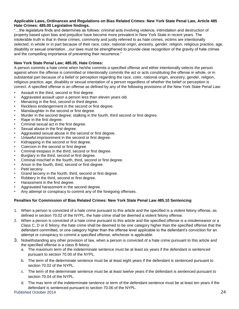#### **Applicable Laws, Ordinances and Regulations on Bias Related Crimes: New York State Penal Law, Article 485 Hate Crimes: 485.00 Legislative findings.**

"…the legislature finds and determines as follows: criminal acts involving violence, intimidation and destruction of property based upon bias and prejudice have become more prevalent in New York State in recent years. The intolerable truth is that in these crimes, commonly and justly referred to as hate crimes, victims are intentionally selected, in whole or in part because of their race, color, national origin, ancestry, gender, religion, religious practice, age, disability or sexual orientation…our laws must be strengthened to provide clear recognition of the gravity of hate crimes and the compelling importance of preventing their recurrence."

#### **New York State Penal Law; 485.05, Hate Crimes:**

A person commits a hate crime when he/she commits a specified offense and either intentionally selects the person against whom the offense is committed or intentionally commits the act or acts constituting the offense in whole, or in substantial part because of a belief or perception regarding the race, color, national origin, ancestry, gender, religion, religious practice, age, disability or sexual orientation of a person regardless of whether the belief or perception is correct. A specified offense is an offense as defined by any of the following provisions of the New York State Penal Law:

- Assault in the third, second or first degree.
- Aggravated assault upon a person less than eleven years old.
- Menacing in the first, second or third degree.
- Reckless endangerment in the second or first degree.
- Manslaughter in the second or first degree.
- Murder in the second degree; stalking in the fourth, third second or first degree.
- Rape in the first degree.
- Criminal sexual act in the first degree.
- Sexual abuse in the first degree.
- Aggravated sexual abuse in the second or first degree.
- Unlawful imprisonment in the second or first degree.
- Kidnapping in the second or first degree.
- Coercion in the second or first degree.
- Criminal trespass in the third, second or first degree.
- Burglary in the third, second or first degree.
- Criminal mischief in the fourth, third, second or first degree.
- Arson in the fourth, third, second or first degree.
- Petit larceny.
- Grand larceny in the fourth, third, second or first degree.
- Robbery in the third, second or first degree.
- Harassment in the first degree.
- Aggravated harassment in the second degree.
- Any attempt or conspiracy to commit any of the foregoing offenses.

#### **Penalties for Commission of Bias Related Crimes: New York State Penal Law 485.10 Sentencing**

- 1. When a person is convicted of a hate crime pursuant to this article and the specified is a violent felony offense, as defined in section 70.02 of the NYPL, the hate crime shall be deemed a violent felony offense.
- 2. When a person is convicted of a hate crime pursuant to this article and the specified offense is a misdemeanor or a Class C, D or E felony, the hate crime shall be deemed to be one category higher than the specified offense that the defendant committed, or one category higher than the offense level applicable to the defendant's conviction for an attempt or conspiracy to commit a specified offense, whichever is applicable.
- 3. Notwithstanding any other provision of law, when a person is convicted of a hate crime pursuant to this article and the specified offense is a class B felony:
	- a. The maximum term of the indeterminate sentence must be at least six years if the defendant is sentenced pursuant to section 70.00 of the NYPL.
	- b. The term of the determinate sentence must be at least eight years if the defendant is sentenced pursuant to section 70.02 of the NYPL.
	- c. The term of the determinate sentence must be at least twelve years if the defendant is sentenced pursuant to section 70.04 of the NYPL.
	- d. The max term of the indeterminate sentence or term of the defendant sentence must be at least ten years if the defendant is sentenced pursuant to section 70.06 of the NYPL.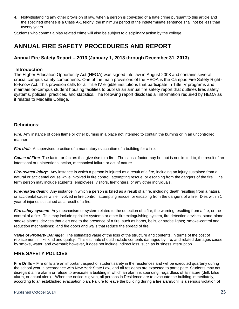4. Notwithstanding any other provision of law, when a person is convicted of a hate crime pursuant to this article and the specified offense is a Class A-1 felony, the minimum period of the indeterminate sentence shall not be less than twenty years.

Students who commit a bias related crime will also be subject to disciplinary action by the college.

# **ANNUAL FIRE SAFETY PROCEDURES AND REPORT**

# **Annual Fire Safety Report – 2013 (January 1, 2013 through December 31, 2013)**

#### **Introduction**

The Higher Education Opportunity Act (HEOA) was signed into law in August 2008 and contains several crucial campus safety components. One of the main provisions of the HEOA is the Campus Fire Safety Rightto-Know Act. This provision calls for all Title IV eligible institutions that participate in Title IV programs and maintain on-campus student housing facilities to publish an annual fire safety report that outlines fires safety systems, policies, practices, and statistics. The following report discloses all information required by HEOA as it relates to Medaille College.

#### **Definitions:**

*Fire:* Any instance of open flame or other burning in a place not intended to contain the burning or in an uncontrolled manner.

*Fire drill:* A supervised practice of a mandatory evacuation of a building for a fire.

*Cause of Fire:* The factor or factors that give rise to a fire. The causal factor may be, but is not limited to, the result of an intentional or unintentional action, mechanical failure or act of nature.

*Fire-related injury:* Any instance in which a person is injured as a result of a fire, including an injury sustained from a natural or accidental cause while involved in fire control, attempting rescue, or escaping from the dangers of the fire. The term person may include students, employees, visitors, firefighters, or any other individuals.

*Fire-related death:* Any instance in which a person is killed as a result of a fire, including death resulting from a natural or accidental cause while involved in fire control, attempting rescue, or escaping from the dangers of a fire. Dies within 1 year of injuries sustained as a result of a fire.

*Fire safety system:* Any mechanism or system related to the detection of a fire, the warning resulting from a fire, or the control of a fire. This may include sprinkler systems or other fire extinguishing system, fire detection devices, stand-alone smoke alarms, devices that alert one to the presence of a fire, such as horns, bells, or strobe lights; smoke-control and reduction mechanisms; and fire doors and walls that reduce the spread of fire.

*Value of Property Damage:* The estimated value of the loss of the structure and contents, in terms of the cost of replacement in like kind and quality. This estimate should include contents damaged by fire, and related damages cause by smoke, water, and overhaul; however, it does not include indirect loss, such as business interruption.

# **FIRE SAFETY POLICIES**

**Fire Drills –** Fire drills are an important aspect of student safety in the residences and will be executed quarterly during the school year in accordance with New York State Law, and all residents are expected to participate. Students may not disregard a fire alarm or refuse to evacuate a building in which an alarm is sounding, regardless of its nature (drill, false alarm, or actual alert). When the notice is given, all persons in Residence are to evacuate the building immediately, according to an established evacuation plan. Failure to leave the building during a fire alarm/drill is a serious violation of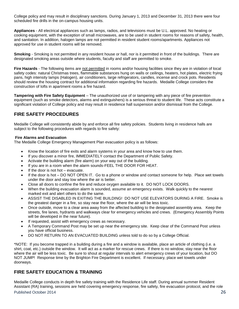College policy and may result in disciplinary sanctions. During January 1, 2013 and December 31, 2013 there were four scheduled fire drills in the on-campus housing units.

**Appliances** - All electrical appliances such as lamps, radios, and televisions must be U.L. approved. No heating or cooking equipment, with the exception of small microwaves, are to be used in student rooms for reasons of safety, health, and sanitation. In addition, halogen lamps are not permitted in resident student rooms/apartments. Appliances not approved for use in student rooms will be removed.

**Smoking** - Smoking is not permitted in any resident house or hall, nor is it permitted in front of the buildings. There are designated smoking areas outside where students, faculty and staff are permitted to smoke.

**Fire Hazards** - The following items are not permitted in rooms and/or housing facilities since they are in violation of local safety codes: natural Christmas trees, flammable substances hung on walls or ceilings, heaters, hot plates, electric frying pans, high intensity lamps (Halogen), air conditioners, large refrigerators, candles, incense and crock pots. Residents should review the housing contract for additional information regarding fire hazards. Medaille College considers the construction of lofts in apartment rooms a fire hazard.

**Tampering with Fire Safety Equipment** – The unauthorized use of or tampering with any piece of fire prevention equipment (such as smoke detectors, alarms and extinguishers) is a serious threat to student life. These acts constitute a significant violation of College policy and may result in residence hall suspension and/or dismissal from the College.

# **FIRE SAFETY PROCEDURES**

Medaille College will consistently abide by and enforce all fire safety policies. Students living in residence halls are subject to the following procedures with regards to fire safety:

#### **Fire Alarms and Evacuation**

The Medaille College Emergency Management Plan evacuation policy is as follows:

- Know the location of fire exits and alarm systems in your area and know how to use them.
- If you discover a minor fire, IMMEDIATELY contact the Department of Public Safety.
- Activate the building alarm (fire alarm) on your way out of the building.
- If you are in a room when the alarm sounds-FEEL THE DOOR FOR HEAT.
- If the door is not hot evacuate.
- If the door is hot DO NOT OPEN IT. Go to a phone or window and contact someone for help. Place wet towels under the door and stay low where the air is better.
- Close all doors to confine the fire and reduce oxygen available to it. DO NOT LOCK DOORS.
- When the building evacuation alarm is sounded, assume an emergency exists. Walk quickly to the nearest marked exit and alert others to do the same.
- ASSIST THE DISABLED IN EXITING THE BUILDING! DO NOT USE ELEVATORS DURING A FIRE. Smoke is the greatest danger in a fire, so stay near the floor, where the air will be less toxic.
- Once outside, move to a clear area away from the affected building to the designated assembly area. Keep the streets, fire lanes, hydrants and walkways clear for emergency vehicles and crews. (Emergency Assembly Points will be developed in the near future).
- If requested, assist with emergency crews as necessary.
- A Temporary Command Post may be set up near the emergency site. Keep clear of the Command Post unless you have official business.
- DO NOT RETURN TO AN EVACUATED BUILDING unless told to do so by a College Official.

\*NOTE: If you become trapped in a building during a fire and a window is available, place an article of clothing (i.e. a shirt, coat, etc.) outside the window. It will act as a marker for rescue crews. If there is no window, stay near the floor where the air will be less toxic. Be sure to shout at regular intervals to alert emergency crews of your location, but DO NOT JUMP! Response time by the Brighton Fire Department is excellent. If necessary, place wet towels under doorways.

# **FIRE SAFETY EDUCATION & TRAINING**

Medaille College conducts in depth fire safety training with the Residence Life staff. During annual summer Resident Assistant (RA) training, sessions are held covering emergency response, fire safety, fire evacuation protocol, and the role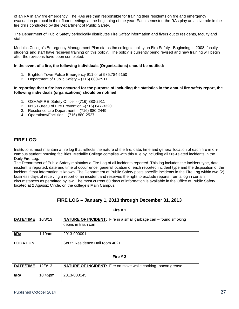of an RA in any fire emergency. The RAs are then responsible for training their residents on fire and emergency evacuation protocol in their floor meetings at the beginning of the year. Each semester, the RAs play an active role in the fire drills conducted by the Department of Public Safety.

The Department of Public Safety periodically distributes Fire Safety information and flyers out to residents, faculty and staff.

Medaille College's Emergency Management Plan states the college's policy on Fire Safety. Beginning in 2008, faculty, students and staff have received training on this policy. The policy is currently being revised and new training will begin after the revisions have been completed.

#### **In the event of a fire, the following individuals (Organizations) should be notified:**

- 1. Brighton Town Police Emergency 911 or at 585.784.5150
- 2. Department of Public Safety (716) 880-2911

#### **In reporting that a fire has occurred for the purpose of including the statistics in the annual fire safety report, the following individuals (organizations) should be notified:**

- 1. OSHA/FIRE Safety Officer (716) 880-2911
- 2. NYS Bureau of Fire Prevention –(716) 847-3320
- 3. Residence Life Department (716) 880-2449
- 4. Operations/Facilities (716) 880-2527

#### **FIRE LOG:**

Institutions must maintain a fire log that reflects the nature of the fire, date, time and general location of each fire in oncampus student housing facilities. Medaille College complies with this rule by including all fire-related incidents in the Daily Fire Log.

The Department of Public Safety maintains a Fire Log of all incidents reported. This log includes the incident type, date incident is reported, date and time of occurrence, general location of each reported incident type and the disposition of the incident if that information is known. The Department of Public Safety posts specific incidents in the Fire Log within two (2) business days of receiving a report of an incident and reserves the right to exclude reports from a log in certain circumstances as permitted by law. The most current 60 days of information is available in the Office of Public Safety located at 2 Agassiz Circle, on the college's Main Campus.

#### **FIRE LOG – January 1, 2013 through December 31, 2013**

**Fire # 1**

| <b>DATE/TIME</b> | 10/8/13 | <b>NATURE OF INCIDENT:</b> Fire in a small garbage can – found smoking<br>debris in trash can |
|------------------|---------|-----------------------------------------------------------------------------------------------|
| <u>I/R#</u>      | 1:19am  | 2013-000091                                                                                   |
| <b>LOCATION</b>  |         | South Residence Hall room 4021                                                                |

#### **Fire # 2**

| <b>DATE/TIME</b> | 12/9/13 | NATURE OF INCIDENT: Fire on stove while cooking- bacon grease |
|------------------|---------|---------------------------------------------------------------|
| <u>I/R#</u>      | 10:45pm | 2013-000145                                                   |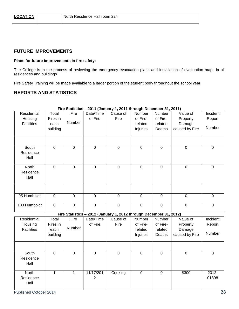|  | <b>LOCATION</b> |  |  |
|--|-----------------|--|--|
|  |                 |  |  |

#### **FUTURE IMPROVEMENTS**

#### **Plans for future improvements in fire safety:**

The College is in the process of reviewing the emergency evacuation plans and installation of evacuation maps in all residences and buildings.

Fire Safety Training will be made available to a larger portion of the student body throughout the school year.

## **REPORTS AND STATISTICS**

| Residential            | Total          | Fire           | Date/Time      | Cause of                                                           | Number         | Number         | Value of       | Incident       |
|------------------------|----------------|----------------|----------------|--------------------------------------------------------------------|----------------|----------------|----------------|----------------|
| Housing                | Fires in       |                | of Fire        | Fire                                                               | of Fire-       | of Fire-       | Property       | Report         |
| <b>Facilities</b>      | each           | Number         |                |                                                                    | related        | related        | Damage         |                |
|                        | building       |                |                |                                                                    | Injuries       | Deaths         | caused by Fire | Number         |
|                        |                |                |                |                                                                    |                |                |                |                |
|                        |                |                |                |                                                                    |                |                |                |                |
| South                  | $\mathbf 0$    | $\mathbf 0$    | $\mathbf 0$    | $\mathbf 0$                                                        | $\mathbf 0$    | $\mathbf 0$    | $\mathbf 0$    | $\pmb{0}$      |
| Residence              |                |                |                |                                                                    |                |                |                |                |
| Hall                   |                |                |                |                                                                    |                |                |                |                |
| <b>North</b>           | $\overline{0}$ | $\overline{0}$ | $\overline{0}$ | $\overline{0}$                                                     | $\mathbf 0$    | $\overline{0}$ | $\mathbf 0$    | $\mathbf 0$    |
| Residence              |                |                |                |                                                                    |                |                |                |                |
| Hall                   |                |                |                |                                                                    |                |                |                |                |
|                        |                |                |                |                                                                    |                |                |                |                |
| 95 Humboldt            | $\mathbf 0$    | $\overline{0}$ | $\overline{0}$ | $\overline{0}$                                                     | $\overline{0}$ | $\mathbf 0$    | $\mathbf 0$    | $\mathbf 0$    |
|                        |                |                |                |                                                                    |                |                |                |                |
| 103 Humboldt           | $\overline{0}$ | $\overline{0}$ | $\overline{0}$ | $\overline{0}$                                                     | $\overline{0}$ | $\overline{0}$ | $\overline{0}$ | $\overline{0}$ |
|                        |                |                |                | Fire Statistics - 2012 (January 1, 2012 through December 31, 2012) |                |                |                |                |
| Residential            | Total          | Fire           | Date/Time      | Cause of                                                           | Number         | Number         | Value of       | Incident       |
| Housing                | Fires in       |                | of Fire        | Fire                                                               | of Fire-       | of Fire-       | Property       | Report         |
| <b>Facilities</b>      | each           | Number         |                |                                                                    | related        | related        | Damage         |                |
|                        | building       |                |                |                                                                    | Injuries       | Deaths         | caused by Fire | Number         |
|                        |                |                |                |                                                                    |                |                |                |                |
| South                  | $\pmb{0}$      | $\mathbf 0$    | $\mathbf 0$    | $\mathbf 0$                                                        | $\mathbf 0$    | $\mathbf 0$    | $\mathbf 0$    | $\mathbf 0$    |
| Residence              |                |                |                |                                                                    |                |                |                |                |
| Hall                   |                |                |                |                                                                    |                |                |                |                |
| <b>North</b>           | $\mathbf{1}$   | $\mathbf{1}$   | 11/17/201      | Cooking                                                            | $\overline{0}$ | $\mathbf 0$    | \$300          | $2012 -$       |
| Residence              |                |                | $\overline{2}$ |                                                                    |                |                |                | 01898          |
| Hall                   |                |                |                |                                                                    |                |                |                |                |
| Published October 2014 |                |                |                |                                                                    |                |                |                | 28             |

# **Fire Statistics – 2011 (January 1, 2011 through December 31, 2011)**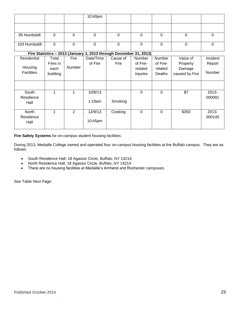|                   |             |        | 10:40pm        |                                                                    |                |             |                |             |
|-------------------|-------------|--------|----------------|--------------------------------------------------------------------|----------------|-------------|----------------|-------------|
|                   |             |        |                |                                                                    |                |             |                |             |
| 95 Humboldt       | $\Omega$    | 0      | $\Omega$       | $\Omega$                                                           | $\Omega$       | $\Omega$    | $\mathbf 0$    | 0           |
| 103 Humboldt      | $\mathbf 0$ | 0      | $\overline{0}$ | $\mathbf 0$                                                        | $\mathbf 0$    | $\mathbf 0$ | $\mathbf 0$    | $\mathbf 0$ |
|                   |             |        |                | Fire Statistics - 2013 (January 1, 2013 through December 31, 2013) |                |             |                |             |
| Residential       | Total       | Fire   | Date/Time      | Cause of                                                           | <b>Number</b>  | Number      | Value of       | Incident    |
|                   | Fires in    | Number | of Fire        | Fire                                                               | of Fire-       | of Fire-    | Property       | Report      |
| Housing           | each        |        |                |                                                                    | related        | related     | Damage         |             |
| <b>Facilities</b> | building    |        |                |                                                                    | Injuries       | Deaths      | caused by Fire | Number      |
|                   |             |        |                |                                                                    |                |             |                |             |
| South             | 1           | 1      | 10/8/13        |                                                                    | $\overline{0}$ | $\mathbf 0$ | \$7            | 2013-       |
| Residence         |             |        |                |                                                                    |                |             |                | 000091      |
| Hall              |             |        | 1:19am         | Smoking                                                            |                |             |                |             |
| North             | 1           | 2      | 12/9/13        | Cooking                                                            | $\mathbf 0$    | 0           | \$350          | 2013-       |
| Residence<br>Hall |             |        | 10:45pm        |                                                                    |                |             |                | 000145      |

**Fire Safety Systems** for on-campus student housing facilities:

During 2013, Medaille College owned and operated four on-campus housing facilities at the Buffalo campus. They are as follows:

- South Residence Hall, 18 Agassiz Circle, Buffalo, NY 14214
- North Residence Hall, 18 Agassiz Circle, Buffalo, NY 14214
- There are no housing facilities at Medaille's Amherst and Rochester campuses.

See Table Next Page: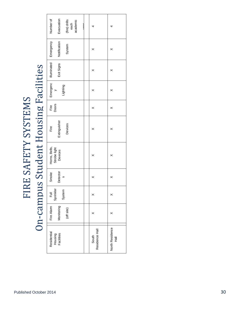|          |            |            |          |                               | THE LOTO I CITY                      |          |                                      |   |
|----------|------------|------------|----------|-------------------------------|--------------------------------------|----------|--------------------------------------|---|
|          |            |            |          |                               | On-campus Student Housing Facilities |          |                                      |   |
| idential | Fire Alarm | Full Smoke |          | Horns, Bells,<br>Strobe light | Eire                                 |          | Fire Emergenc Illuminated<br>Doors y | 巴 |
| pusing   |            | Sprinkler  |          |                               |                                      |          |                                      |   |
| cilities | Monitoring |            | Detector | Devices                       | <b>Extinguisher</b>                  |          | Exit Signs                           | ž |
|          |            | System     |          |                               |                                      | lighting |                                      |   |
|          | (off site) |            |          |                               | Devices                              |          |                                      |   |
|          |            |            |          |                               |                                      |          |                                      |   |
|          |            |            |          |                               |                                      |          |                                      |   |

|                                                                                     | Evacuation<br>Number of<br>(fire) drills<br>academic<br>each | 4                       | 4                     |  |
|-------------------------------------------------------------------------------------|--------------------------------------------------------------|-------------------------|-----------------------|--|
|                                                                                     | Notification<br>Emergency<br>System                          | $\boldsymbol{\times}$   | $\boldsymbol{\times}$ |  |
|                                                                                     | Illuminated<br>Exit Signs                                    | $\boldsymbol{\times}$   | $\boldsymbol{\times}$ |  |
|                                                                                     | Emergenc<br>y<br>Lighting                                    | $\times$                | $\boldsymbol{\times}$ |  |
|                                                                                     | Fire<br>Doors                                                | $\times$                | $\boldsymbol{\times}$ |  |
| s Student Housing Facilities<br>FIRE SAFETY SYSTEMS<br>On-campus Student Housing Fa | Extinguisher<br>Devices<br>Fire                              | $\times$                | $\boldsymbol{\times}$ |  |
|                                                                                     | Horns, Bells,<br>Strobe light<br>Devices                     | $\times$                | $\times$              |  |
|                                                                                     | Detector<br>Smoke<br>$\omega$                                | $\times$                | $\boldsymbol{\times}$ |  |
|                                                                                     | Full<br>Sprinkler<br>System                                  | $\times$                | $\boldsymbol{\times}$ |  |
|                                                                                     | Fire Alarm<br>Monitoring<br>(off site)                       | $\times$                | $\times$              |  |
|                                                                                     | Residential<br>Facilities<br>Housing                         | Residence Hall<br>South | North Residence       |  |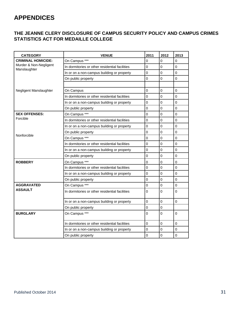# **APPENDICES**

# **THE JEANNE CLERY DISCLOSURE OF CAMPUS SECURITY POLICY AND CAMPUS CRIMES STATISTICS ACT FOR MEDAILLE COLLEGE**

| <b>CATEGORY</b>                        | <b>VENUE</b>                                   | 2011        | 2012           | 2013         |
|----------------------------------------|------------------------------------------------|-------------|----------------|--------------|
| <b>CRIMINAL HOMICIDE:</b>              | On Campus ***                                  | 0           | 0              | 0            |
| Murder & Non-Negligent<br>Manslaughter | In dormitories or other residential facilities | 0           | 0              | $\Omega$     |
|                                        | In or on a non-campus building or property     | 0           | 0              | 0            |
|                                        | On public property                             | $\mathbf 0$ | 0              | $\mathbf 0$  |
|                                        |                                                |             |                |              |
| Negligent Manslaughter                 | On Campus                                      | 0           | 0              | $\Omega$     |
|                                        | In dormitories or other residential facilities | $\mathbf 0$ | 0              | $\Omega$     |
|                                        | In or on a non-campus building or property     | 0           | 0              | 0            |
|                                        | On public property                             | 0           | 0              | $\mathbf{0}$ |
| <b>SEX OFFENSES:</b>                   | On Campus ***                                  | $\mathbf 0$ | $\overline{0}$ | $\mathbf 0$  |
| Forcible                               | In dormitories or other residential facilities | 0           | 0              | $\Omega$     |
|                                        | In or on a non-campus building or property     | $\mathbf 0$ | 0              | $\Omega$     |
|                                        | On public property                             | $\mathbf 0$ | 0              | $\Omega$     |
| Nonforcible                            | On Campus ***                                  | $\mathbf 0$ | $\mathbf 0$    | $\Omega$     |
|                                        | In dormitories or other residential facilities | 0           | 0              | 0            |
|                                        | In or on a non-campus building or property     | 0           | 0              | $\Omega$     |
|                                        | On public property                             | $\mathbf 0$ | $\overline{0}$ | $\mathbf 0$  |
| <b>ROBBERY</b>                         | On Campus ***                                  | $\mathbf 0$ | $\overline{0}$ | $\mathbf 0$  |
|                                        | In dormitories or other residential facilities | $\mathbf 0$ | 0              | $\mathbf 0$  |
|                                        | In or on a non-campus building or property     | 0           | 0              | $\mathbf 0$  |
|                                        | On public property                             | $\mathbf 0$ | 0              | 0            |
| <b>AGGRAVATED</b>                      | On Campus ***                                  | $\mathbf 0$ | $\mathbf 0$    | $\Omega$     |
| <b>ASSAULT</b>                         | In dormitories or other residential facilities | $\Omega$    | 0              | $\Omega$     |
|                                        | In or on a non-campus building or property     | 0           | 0              | $\Omega$     |
|                                        | On public property                             | $\mathbf 0$ | $\mathbf 0$    |              |
| <b>BURGLARY</b>                        | On Campus ***                                  | 0           | 0              | $\Omega$     |
|                                        | In dormitories or other residential facilities | 0           | 0              | $\Omega$     |
|                                        | In or on a non-campus building or property     | 0           | $\mathbf 0$    | $\Omega$     |
|                                        | On public property                             | 0           | 0              | $\mathbf 0$  |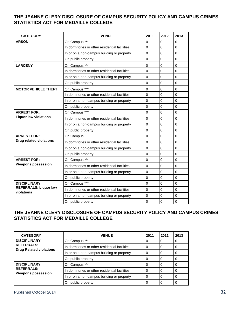# **THE JEANNE CLERY DISCLOSURE OF CAMPUS SECURITY POLICY AND CAMPUS CRIMES STATISTICS ACT FOR MEDAILLE COLLEGE**

| <b>CATEGORY</b>                            | <b>VENUE</b>                                   | 2011        | 2012           | 2013        |
|--------------------------------------------|------------------------------------------------|-------------|----------------|-------------|
| <b>ARSON</b>                               | On Campus ***                                  | $\Omega$    | 0              | $\Omega$    |
|                                            | In dormitories or other residential facilities | $\mathbf 0$ | 0              | $\mathbf 0$ |
|                                            | In or on a non-campus building or property     | $\Omega$    | 0              | $\Omega$    |
|                                            | On public property                             | $\mathbf 0$ | 0              | 0           |
| <b>LARCENY</b>                             | On Campus ***                                  | $\Omega$    | $\Omega$       | $\Omega$    |
|                                            | In dormitories or other residential facilities | $\mathbf 0$ | $\mathbf 0$    | $\mathbf 0$ |
|                                            | In or on a non-campus building or property     | $\Omega$    | $\Omega$       | 0           |
|                                            | On public property                             | $\mathbf 0$ | 0              | $\mathbf 0$ |
| <b>MOTOR VEHICLE THEFT</b>                 | On Campus ***                                  | $\mathbf 0$ | 0              | 0           |
|                                            | In dormitories or other residential facilities | $\mathbf 0$ | 0              | $\mathbf 0$ |
|                                            | In or on a non-campus building or property     | $\mathbf 0$ | 0              | $\mathbf 0$ |
|                                            | On public property                             | $\mathbf 0$ | $\overline{0}$ | $\mathbf 0$ |
| <b>ARREST FOR:</b>                         | On Campus ***                                  | $\mathbf 0$ | $\overline{0}$ | $\mathbf 0$ |
| <b>Liquor law violations</b>               | In dormitories or other residential facilities | $\Omega$    | $\Omega$       | 0           |
|                                            | In or on a non-campus building or property     | $\mathbf 0$ | 0              | $\mathbf 0$ |
|                                            | On public property                             | $\Omega$    | $\Omega$       | $\Omega$    |
| <b>ARREST FOR:</b>                         | On Campus                                      | $\Omega$    | 0              | $\mathbf 0$ |
| <b>Drug related violations</b>             | In dormitories or other residential facilities | $\mathbf 0$ | 0              | $\Omega$    |
|                                            | In or on a non-campus building or property     | $\mathbf 0$ | 0              | $\mathbf 0$ |
|                                            | On public property                             | $\mathbf 0$ | $\overline{0}$ | $\mathbf 0$ |
| <b>ARREST FOR:</b>                         | On Campus ***                                  | $\mathbf 0$ | 0              | 0           |
| <b>Weapons possession</b>                  | In dormitories or other residential facilities | $\mathbf 0$ | 0              | $\mathbf 0$ |
|                                            | In or on a non-campus building or property     | $\Omega$    | $\Omega$       | $\Omega$    |
|                                            | On public property                             | $\mathbf 0$ | 0              | $\mathbf 0$ |
| <b>DISCIPLINARY</b>                        | On Campus ***                                  | $\mathbf 0$ | 0              | $\Omega$    |
| <b>REFERRALS: Liquor law</b><br>violations | In dormitories or other residential facilities | $\mathbf 0$ | 0              | $\mathbf 0$ |
|                                            | In or on a non-campus building or property     | $\Omega$    | $\overline{0}$ | $\mathbf 0$ |
|                                            | On public property                             | 0           | 0              | $\mathbf 0$ |

# **THE JEANNE CLERY DISCLOSURE OF CAMPUS SECURITY POLICY AND CAMPUS CRIMES STATISTICS ACT FOR MEDAILLE COLLEGE**

| <b>CATEGORY</b>                                                       | <b>VENUE</b>                                   | 2011 | 2012 | 2013 |
|-----------------------------------------------------------------------|------------------------------------------------|------|------|------|
| <b>DISCIPLINARY</b><br><b>REFERRALS:</b>                              | On Campus ***                                  | O    |      |      |
|                                                                       | In dormitories or other residential facilities | 0    | 0    |      |
| <b>Drug Related violations</b>                                        | In or on a non-campus building or property     | 0    | 0    |      |
|                                                                       | On public property                             | 0    | 0    |      |
| <b>DISCIPLINARY</b><br><b>REFERRALS:</b><br><b>Weapons possession</b> | On Campus ***                                  | 0    | 0    |      |
|                                                                       | In dormitories or other residential facilities | 0    | 0    | 0    |
|                                                                       | In or on a non-campus building or property     |      | O    |      |
|                                                                       | On public property                             |      |      |      |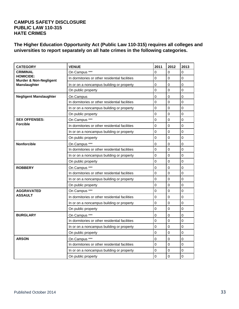## **CAMPUS SAFETY DISCLOSURE PUBLIC LAW 110-315 HATE CRIMES**

**The Higher Education Opportunity Act (Public Law 110-315) requires all colleges and universities to report separately on all hate crimes in the following categories.**

| <b>CATEGORY</b>                                       | <b>VENUE</b>                                   | 2011 | 2012           | 2013           |
|-------------------------------------------------------|------------------------------------------------|------|----------------|----------------|
| <b>CRIMINAL</b>                                       | On Campus ***                                  | 0    | $\Omega$       | 0              |
| <b>HOMICIDE:</b><br><b>Murder &amp; Non-Negligent</b> | In dormitories or other residential facilities | 0    | $\mathbf{0}$   | 0              |
| <b>Manslaughter</b>                                   | In or on a noncampus building or property      | 0    | $\mathbf 0$    | 0              |
|                                                       | On public property                             | 0    | $\mathbf{0}$   | 0              |
| <b>Negligent Manslaughter</b>                         | On Campus                                      | 0    | $\mathbf{0}$   | 0              |
|                                                       | In dormitories or other residential facilities | 0    | $\Omega$       | 0              |
|                                                       | In or on a noncampus building or property      | 0    | $\mathbf{0}$   | 0              |
|                                                       | On public property                             | 0    | 0              | $\Omega$       |
| <b>SEX OFFENSES:</b>                                  | On Campus ***                                  | 0    | $\Omega$       | 0              |
| <b>Forcible</b>                                       | In dormitories or other residential facilities | 0    | $\mathbf 0$    | 0              |
|                                                       | In or on a noncampus building or property      | 0    | $\mathbf 0$    | 0              |
|                                                       | On public property                             | 0    | $\Omega$       | 0              |
| <b>Nonforcible</b>                                    | On Campus ***                                  | 0    | $\overline{0}$ | 0              |
|                                                       | In dormitories or other residential facilities | 0    | $\mathbf 0$    | $\Omega$       |
|                                                       | In or on a noncampus building or property      | 0    | $\mathbf 0$    | 0              |
|                                                       | On public property                             | 0    | $\Omega$       | 0              |
| <b>ROBBERY</b>                                        | On Campus ***                                  | 0    | $\mathbf 0$    | $\overline{0}$ |
|                                                       | In dormitories or other residential facilities | 0    | $\mathbf 0$    | 0              |
|                                                       | In or on a noncampus building or property      | 0    | $\mathbf 0$    | 0              |
|                                                       | On public property                             | 0    | $\mathbf 0$    | 0              |
| <b>AGGRAVATED</b>                                     | On Campus ***                                  | 0    | $\mathbf 0$    | $\overline{0}$ |
| <b>ASSAULT</b>                                        | In dormitories or other residential facilities | 0    | $\mathbf 0$    | 0              |
|                                                       | In or on a noncampus building or property      | 0    | $\Omega$       | 0              |
|                                                       | On public property                             | 0    | $\Omega$       | 0              |
| <b>BURGLARY</b>                                       | On Campus ***                                  | 0    | $\mathbf 0$    | 0              |
|                                                       | In dormitories or other residential facilities | 0    | $\Omega$       | 0              |
|                                                       | In or on a noncampus building or property      | 0    | $\mathbf 0$    | 0              |
|                                                       | On public property                             | 0    | $\Omega$       | 0              |
| <b>ARSON</b>                                          | On Campus ***                                  | 0    | $\mathbf 0$    | 0              |
|                                                       | In dormitories or other residential facilities | 0    | $\Omega$       | 0              |
|                                                       | In or on a noncampus building or property      | 0    | $\mathbf 0$    | 0              |
|                                                       | On public property                             | 0    | $\mathbf 0$    | 0              |